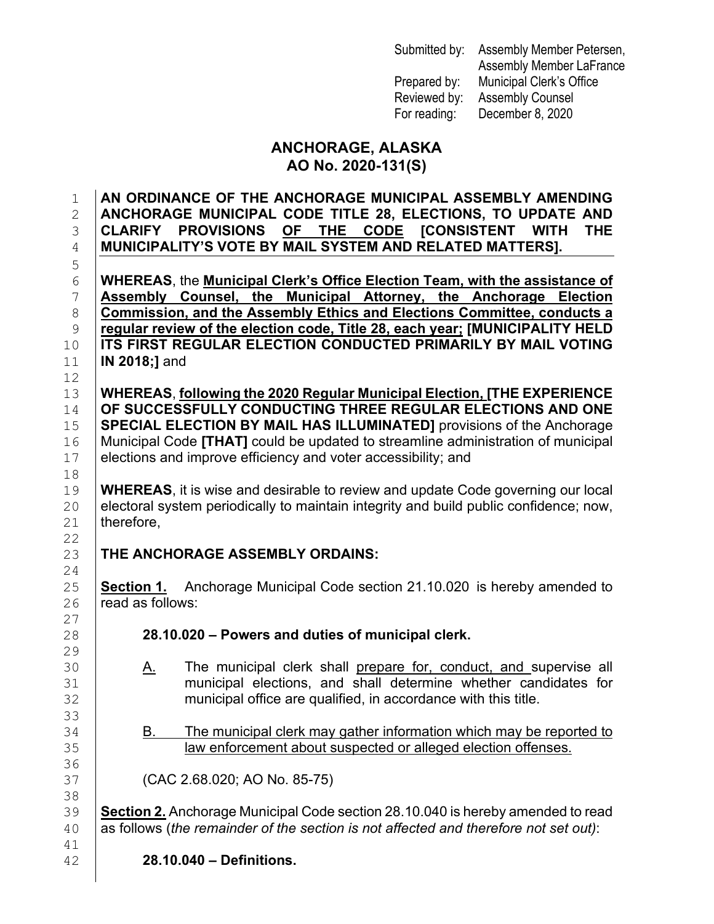Submitted by: Assembly Member Petersen, Assembly Member LaFrance Prepared by: Municipal Clerk's Office Reviewed by: Assembly Counsel For reading: December 8, 2020

## **ANCHORAGE, ALASKA AO No. 2020-131(S)**

1 **AN ORDINANCE OF THE ANCHORAGE MUNICIPAL ASSEMBLY AMENDING**  2 **ANCHORAGE MUNICIPAL CODE TITLE 28, ELECTIONS, TO UPDATE AND**  3 **CLARIFY PROVISIONS <u>OF THE CODE</u> [CONSISTENT | NUNICIPALITY'S VOTE BY MAIL SYSTEM AND RELATED MATT** 4 **MUNICIPALITY'S VOTE BY MAIL SYSTEM AND RELATED MATTERS].** 5 6 **WHEREAS**, the **Municipal Clerk's Office Election Team, with the assistance of Assembly Counsel, the Municipal Attorney, the Anchorage Election**<br> **B** Commission, and the Assembly Ethics and Elections Committee, conducts a 8 **Commission, and the Assembly Ethics and Elections Committee, conducts a**<br>9 **Pregular review of the election code. Title 28, each vear: IMUNICIPALITY HELD** 9 **regular review of the election code, Title 28, each year; [MUNICIPALITY HELD**  10 **ITS FIRST REGULAR ELECTION CONDUCTED PRIMARILY BY MAIL VOTING**<br>11 **IN 2018;]** and 11 **IN 2018;]** and 12<br>13 13 **WHEREAS**, **following the 2020 Regular Municipal Election, [THE EXPERIENCE**  14 **OF SUCCESSFULLY CONDUCTING THREE REGULAR ELECTIONS AND ONE**<br>15 **SPECIAL ELECTION BY MAIL HAS ILLUMINATED1** provisions of the Anchorage **SPECIAL ELECTION BY MAIL HAS ILLUMINATED]** provisions of the Anchorage 16 Municipal Code **[THAT]** could be updated to streamline administration of municipal 16 | Municipal Code **[THAT]** could be updated to streamline administration of municipal <br>17 | elections and improve efficiency and voter accessibility; and elections and improve efficiency and voter accessibility; and 18<br>19 19 **WHEREAS**, it is wise and desirable to review and update Code governing our local electoral system periodically to maintain integrity and build public confidence; now, 20 electoral system periodically to maintain integrity and build public confidence; now,  $21$  therefore. therefore. 22<br>23 **THE ANCHORAGE ASSEMBLY ORDAINS:**  $\frac{24}{25}$ 25 **Section 1.** Anchorage Municipal Code section 21.10.020 is hereby amended to  $26$  read as follows: read as follows:  $\frac{27}{28}$ 28 **28.10.020 – Powers and duties of municipal clerk.** 29<br>30 30 A. The municipal clerk shall prepare for, conduct, and supervise all<br>31 **A. Construent in the municipal elections**, and shall determine whether candidates for 31 municipal elections, and shall determine whether candidates for <br>32 municipal office are qualified, in accordance with this title. municipal office are qualified, in accordance with this title. 33<br>34 B. The municipal clerk may gather information which may be reported to 35 law enforcement about suspected or alleged election offenses. 36<br>37 (CAC 2.68.020; AO No. 85-75) 38<br>39 39 **Section 2.** Anchorage Municipal Code section 28.10.040 is hereby amended to read<br>40 as follows (*the remainder of the section is not affected and therefore not set out*): as follows (*the remainder of the section is not affected and therefore not set out*): 41<br>42

42 **28.10.040 – Definitions.**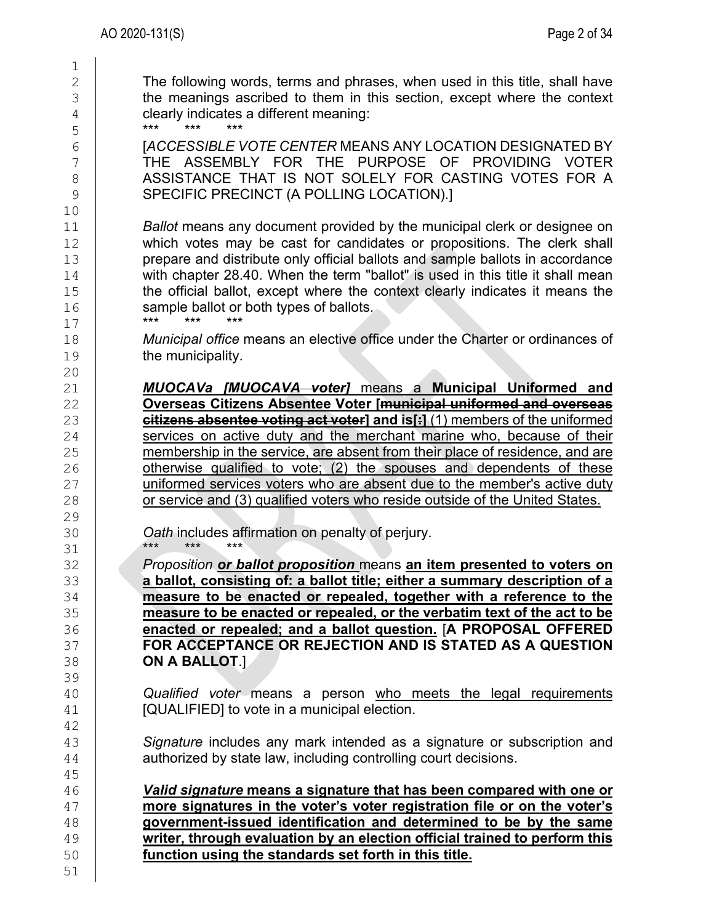2 The following words, terms and phrases, when used in this title, shall have<br>3 the meanings ascribed to them in this section, except where the context  $\begin{array}{c|c} 3 & \text{the meanings ascribed to them in this section, except where the context} \\ 4 & \text{clearly indicates a different meaning:} \end{array}$ 4 clearly indicates a different meaning:<br>5 \*\*\* \*\*\* \*\*\* \*\*\* \*\*\* 5 \*\*\* \*\*\* \*\*\* 6 [*ACCESSIBLE VOTE CENTER* MEANS ANY LOCATION DESIGNATED BY

T THE ASSEMBLY FOR THE PURPOSE OF PROVIDING VOTER<br>8 ASSISTANCE THAT IS NOT SOLELY FOR CASTING VOTES FOR A 8 ASSISTANCE THAT IS NOT SOLELY FOR CASTING VOTES FOR A<br>9 SPECIFIC PRECINCT (A POLLING LOCATION).1 SPECIFIC PRECINCT (A POLLING LOCATION).]

11 **Ballot** means any document provided by the municipal clerk or designee on 12 which votes may be cast for candidates or propositions. The clerk shall which votes may be cast for candidates or propositions. The clerk shall<br>13 http://www.prepare.and.distribute.only.official.ballots.and.sample.ballots.in.accordance 13 prepare and distribute only official ballots and sample ballots in accordance<br>14 with chapter 28.40. When the term "ballot" is used in this title it shall mean 14 with chapter 28.40. When the term "ballot" is used in this title it shall mean<br>15 the official ballot, except where the context clearly indicates it means the 15 the official ballot, except where the context clearly indicates it means the sample ballot or both types of ballots. 16 sample ballot or both types of ballots.<br>17 \*\*\* \*\*\* \*\*\* \*\*\* \*\*\*

17 \*\*\* \*\*\* \*\*\* 18 *Municipal office* means an elective office under the Charter or ordinances of the municipality. the municipality.

21 *MUOCAVa [MUOCAVA voter]* means a **Municipal Uniformed and**  22 **Overseas Citizens Absentee Voter [municipal uniformed and overseas**  23 **citizens absentee voting act voter] and is[:]** (1) members of the uniformed <br>24 **compare in the services** on active duty and the merchant marine who, because of their  $24$  services on active duty and the merchant marine who, because of their  $25$  membership in the service, are absent from their place of residence, and are 25 membership in the service, are absent from their place of residence, and are<br>26 **homology** otherwise qualified to vote: (2) the spouses and dependents of these otherwise qualified to vote; (2) the spouses and dependents of these 27 uniformed services voters who are absent due to the member's active duty<br>28 or service and (3) qualified voters who reside outside of the United States. or service and (3) qualified voters who reside outside of the United States.

30 **Oath** includes affirmation on penalty of perjury. 31 \*\*\* \*\*\* \*\*\*

 *Proposition or ballot proposition* means **an item presented to voters on a ballot, consisting of: a ballot title; either a summary description of a**<br>34 **a and a allot, consisting of a ballot title; either a summary description of a 14 <b>measure to be enacted or repealed, together with a reference to the**  $\frac{35}{25}$  **measure to be enacted or repealed, or the verbatim text of the act to be enacted or repealed; and a ballot question.** [**A PROPOSAL OFFERED FOR ACCEPTANCE OR REJECTION AND IS STATED AS A QUESTION ON A BALLOT**.]

40 **Qualified voter means a person who meets the legal requirements**<br>41 **COUALIFIEDI** to vote in a municipal election. [QUALIFIED] to vote in a municipal election.

43 Signature includes any mark intended as a signature or subscription and <br>44 **Construents and have an example in the subscription and and have an example and the subscription and and a** authorized by state law, including controlling court decisions.

 *Valid signature* **means a signature that has been compared with one or more signatures in the voter's voter registration file or on the voter's government-issued identification and determined to be by the same writer, through evaluation by an election official trained to perform this**<br>50 **function using the standards set forth in this title.** function using the standards set forth in this title.

42<br>43

45<br>46

51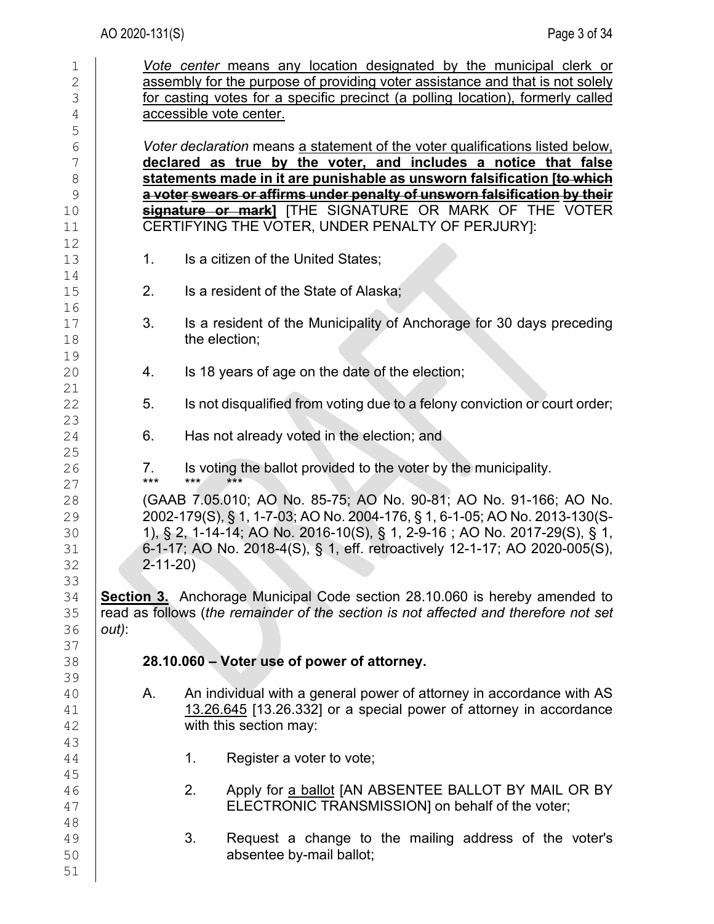| $\mathbf 1$    |                                                                                 |       | Vote center means any location designated by the municipal clerk or                 |  |  |  |  |
|----------------|---------------------------------------------------------------------------------|-------|-------------------------------------------------------------------------------------|--|--|--|--|
| $\overline{2}$ |                                                                                 |       | assembly for the purpose of providing voter assistance and that is not solely       |  |  |  |  |
| 3              | for casting votes for a specific precinct (a polling location), formerly called |       |                                                                                     |  |  |  |  |
| 4              | accessible vote center.                                                         |       |                                                                                     |  |  |  |  |
| 5              |                                                                                 |       |                                                                                     |  |  |  |  |
| 6              |                                                                                 |       | Voter declaration means a statement of the voter qualifications listed below.       |  |  |  |  |
| 7              |                                                                                 |       | declared as true by the voter, and includes a notice that false                     |  |  |  |  |
| $\,8\,$        |                                                                                 |       | statements made in it are punishable as unsworn falsification [to which             |  |  |  |  |
| 9              |                                                                                 |       | a voter swears or affirms under penalty of unsworn falsification by their           |  |  |  |  |
| 10             |                                                                                 |       | signature or mark] [THE SIGNATURE OR MARK OF THE VOTER                              |  |  |  |  |
| 11             |                                                                                 |       | CERTIFYING THE VOTER, UNDER PENALTY OF PERJURY]:                                    |  |  |  |  |
| 12             |                                                                                 |       |                                                                                     |  |  |  |  |
| 13             | 1.                                                                              |       | Is a citizen of the United States;                                                  |  |  |  |  |
| 14             |                                                                                 |       |                                                                                     |  |  |  |  |
| 15             | 2.                                                                              |       | Is a resident of the State of Alaska;                                               |  |  |  |  |
| 16             |                                                                                 |       |                                                                                     |  |  |  |  |
| 17             | 3.                                                                              |       | Is a resident of the Municipality of Anchorage for 30 days preceding                |  |  |  |  |
| 18             |                                                                                 |       | the election;                                                                       |  |  |  |  |
| 19             |                                                                                 |       |                                                                                     |  |  |  |  |
| 20             | 4.                                                                              |       | Is 18 years of age on the date of the election;                                     |  |  |  |  |
| 21             |                                                                                 |       |                                                                                     |  |  |  |  |
| 22             | 5.                                                                              |       | Is not disqualified from voting due to a felony conviction or court order;          |  |  |  |  |
| 23             |                                                                                 |       |                                                                                     |  |  |  |  |
| 24             | 6.                                                                              |       | Has not already voted in the election; and                                          |  |  |  |  |
| 25             |                                                                                 |       |                                                                                     |  |  |  |  |
| 26             | 7.                                                                              |       | Is voting the ballot provided to the voter by the municipality.                     |  |  |  |  |
| 27             | ***                                                                             | $***$ | $***$                                                                               |  |  |  |  |
| 28             |                                                                                 |       | (GAAB 7.05.010; AO No. 85-75; AO No. 90-81; AO No. 91-166; AO No.                   |  |  |  |  |
| 29             |                                                                                 |       | 2002-179(S), § 1, 1-7-03; AO No. 2004-176, § 1, 6-1-05; AO No. 2013-130(S-          |  |  |  |  |
| 30             |                                                                                 |       | 1), § 2, 1-14-14; AO No. 2016-10(S), § 1, 2-9-16; AO No. 2017-29(S), § 1,           |  |  |  |  |
| 31             |                                                                                 |       | 6-1-17; AO No. 2018-4(S), § 1, eff. retroactively 12-1-17; AO 2020-005(S),          |  |  |  |  |
| 32             | $2 - 11 - 20$                                                                   |       |                                                                                     |  |  |  |  |
| 33             |                                                                                 |       |                                                                                     |  |  |  |  |
| 34             |                                                                                 |       | <b>Section 3.</b> Anchorage Municipal Code section 28.10.060 is hereby amended to   |  |  |  |  |
| 35             |                                                                                 |       | read as follows (the remainder of the section is not affected and therefore not set |  |  |  |  |
| 36             | out):                                                                           |       |                                                                                     |  |  |  |  |
| 37             |                                                                                 |       |                                                                                     |  |  |  |  |
| 38             |                                                                                 |       | 28.10.060 - Voter use of power of attorney.                                         |  |  |  |  |
| 39             |                                                                                 |       |                                                                                     |  |  |  |  |
| 40             | Α.                                                                              |       | An individual with a general power of attorney in accordance with AS                |  |  |  |  |
| 41             |                                                                                 |       | 13.26.645 [13.26.332] or a special power of attorney in accordance                  |  |  |  |  |
| 42             |                                                                                 |       | with this section may:                                                              |  |  |  |  |
| 43             |                                                                                 |       |                                                                                     |  |  |  |  |
| 44             |                                                                                 | 1.    | Register a voter to vote;                                                           |  |  |  |  |
| 45             |                                                                                 |       |                                                                                     |  |  |  |  |
| 46             |                                                                                 | 2.    | Apply for a ballot JAN ABSENTEE BALLOT BY MAIL OR BY                                |  |  |  |  |
| 47             |                                                                                 |       | ELECTRONIC TRANSMISSION] on behalf of the voter;                                    |  |  |  |  |
| 48             |                                                                                 |       |                                                                                     |  |  |  |  |
| 49             |                                                                                 | 3.    | Request a change to the mailing address of the voter's                              |  |  |  |  |
| 50             |                                                                                 |       | absentee by-mail ballot;                                                            |  |  |  |  |
| 51             |                                                                                 |       |                                                                                     |  |  |  |  |
|                |                                                                                 |       |                                                                                     |  |  |  |  |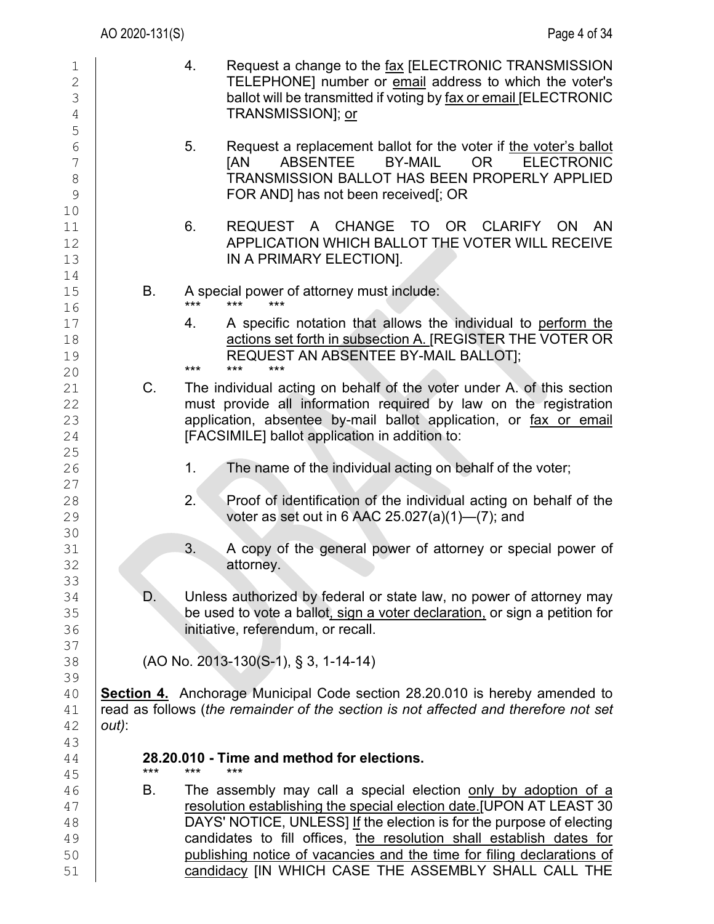| $\mathbf 1$<br>$\mathbf{2}$<br>3<br>4<br>5 |          | 4.          | Request a change to the fax [ELECTRONIC TRANSMISSION<br>TELEPHONE] number or email address to which the voter's<br>ballot will be transmitted if voting by fax or email JELECTRONIC<br>TRANSMISSION]; or                                                                                                                                                                                                                |
|--------------------------------------------|----------|-------------|-------------------------------------------------------------------------------------------------------------------------------------------------------------------------------------------------------------------------------------------------------------------------------------------------------------------------------------------------------------------------------------------------------------------------|
| 6<br>7<br>$\,8\,$<br>9<br>10               |          | 5.          | Request a replacement ballot for the voter if the voter's ballot<br><b>ABSENTEE</b><br><b>BY-MAIL</b><br><b>ELECTRONIC</b><br><b>JAN</b><br>OR D<br>TRANSMISSION BALLOT HAS BEEN PROPERLY APPLIED<br>FOR AND] has not been received[; OR                                                                                                                                                                                |
| 11<br>12<br>13<br>14                       |          | 6.          | REQUEST A CHANGE TO OR CLARIFY ON<br>AN.<br>APPLICATION WHICH BALLOT THE VOTER WILL RECEIVE<br>IN A PRIMARY ELECTION].                                                                                                                                                                                                                                                                                                  |
| 15<br>16                                   | В.       | $***$       | A special power of attorney must include:<br>$***$<br>$***$                                                                                                                                                                                                                                                                                                                                                             |
| 17<br>18<br>19<br>20                       |          | 4.<br>$***$ | A specific notation that allows the individual to perform the<br>actions set forth in subsection A. [REGISTER THE VOTER OR<br>REQUEST AN ABSENTEE BY-MAIL BALLOT];<br>***<br>$***$                                                                                                                                                                                                                                      |
| 21<br>22<br>23<br>24<br>25                 | C.       |             | The individual acting on behalf of the voter under A. of this section<br>must provide all information required by law on the registration<br>application, absentee by-mail ballot application, or fax or email<br>[FACSIMILE] ballot application in addition to:                                                                                                                                                        |
| 26                                         |          | 1.          | The name of the individual acting on behalf of the voter;                                                                                                                                                                                                                                                                                                                                                               |
| 27<br>28<br>29                             |          | 2.          | Proof of identification of the individual acting on behalf of the<br>voter as set out in 6 AAC $25.027(a)(1)$ — $(7)$ ; and                                                                                                                                                                                                                                                                                             |
| 30<br>31<br>32<br>33                       |          | 3.          | A copy of the general power of attorney or special power of<br>attorney.                                                                                                                                                                                                                                                                                                                                                |
| 34<br>35<br>36                             | D.       |             | Unless authorized by federal or state law, no power of attorney may<br>be used to vote a ballot, sign a voter declaration, or sign a petition for<br>initiative, referendum, or recall.                                                                                                                                                                                                                                 |
| 37<br>38                                   |          |             | (AO No. 2013-130(S-1), § 3, 1-14-14)                                                                                                                                                                                                                                                                                                                                                                                    |
| 39<br>40<br>41<br>42<br>43                 | $out)$ : |             | <b>Section 4.</b> Anchorage Municipal Code section 28.20.010 is hereby amended to<br>read as follows (the remainder of the section is not affected and therefore not set                                                                                                                                                                                                                                                |
| 44<br>45                                   | $***$    | ***         | 28.20.010 - Time and method for elections.<br>***                                                                                                                                                                                                                                                                                                                                                                       |
| 46<br>47<br>48<br>49<br>50<br>51           | В.       |             | The assembly may call a special election only by adoption of a<br>resolution establishing the special election date.[UPON AT LEAST 30<br>DAYS' NOTICE, UNLESS] If the election is for the purpose of electing<br>candidates to fill offices, the resolution shall establish dates for<br>publishing notice of vacancies and the time for filing declarations of<br>candidacy [IN WHICH CASE THE ASSEMBLY SHALL CALL THE |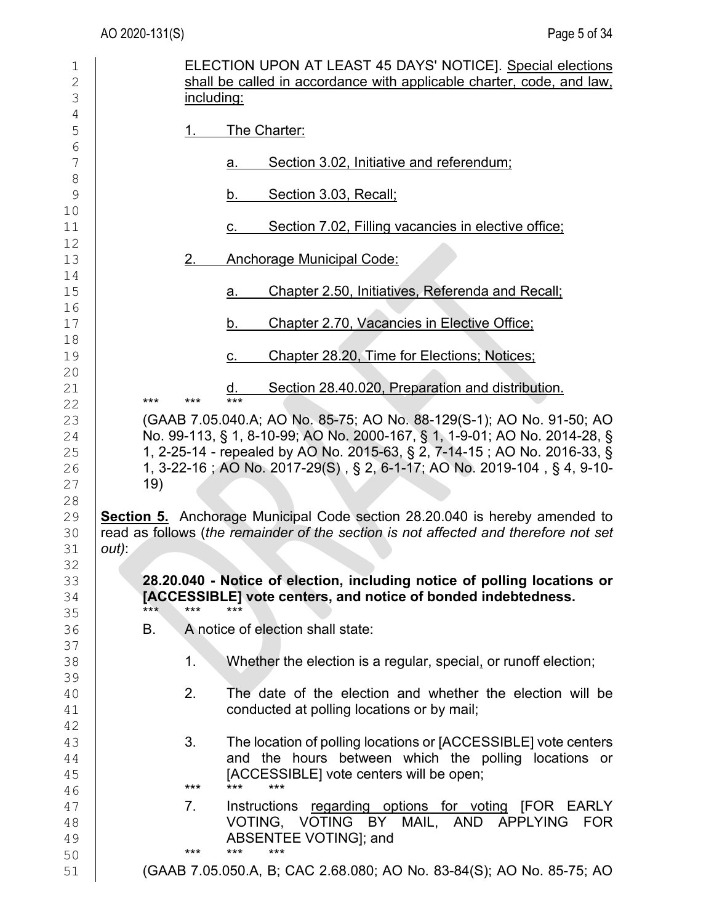| $\mathbf 1$   | ELECTION UPON AT LEAST 45 DAYS' NOTICE]. Special elections                                   |
|---------------|----------------------------------------------------------------------------------------------|
| $\mathbf{2}$  | shall be called in accordance with applicable charter, code, and law,                        |
| 3             | including:                                                                                   |
| 4             |                                                                                              |
| 5             | The Charter:<br>1.                                                                           |
| 6<br>7        | Section 3.02, Initiative and referendum;<br>a.                                               |
| $\,8\,$       |                                                                                              |
| $\mathcal{G}$ | Section 3.03, Recall;<br>b.                                                                  |
| 10            |                                                                                              |
| 11            | Section 7.02, Filling vacancies in elective office;<br>С.                                    |
| 12            |                                                                                              |
| 13            | <b>Anchorage Municipal Code:</b><br>2.                                                       |
| 14<br>15      | Chapter 2.50, Initiatives, Referenda and Recall;<br>a.                                       |
| 16            |                                                                                              |
| 17            | Chapter 2.70, Vacancies in Elective Office;<br>b.                                            |
| 18            |                                                                                              |
| 19            | Chapter 28.20, Time for Elections; Notices;<br>С.                                            |
| 20            |                                                                                              |
| 21<br>22      | Section 28.40.020, Preparation and distribution.<br>d.<br>$***$<br>***<br>$***$              |
| 23            | (GAAB 7.05.040.A; AO No. 85-75; AO No. 88-129(S-1); AO No. 91-50; AO                         |
| 24            | No. 99-113, § 1, 8-10-99; AO No. 2000-167, § 1, 1-9-01; AO No. 2014-28, §                    |
| 25            | 1, 2-25-14 - repealed by AO No. 2015-63, § 2, 7-14-15 ; AO No. 2016-33, §                    |
| 26            | 1, 3-22-16 ; AO No. 2017-29(S), § 2, 6-1-17; AO No. 2019-104, § 4, 9-10-                     |
| 27            | 19)                                                                                          |
| 28            |                                                                                              |
| 29            | <b>Section 5.</b> Anchorage Municipal Code section 28.20.040 is hereby amended to            |
| 30<br>31      | read as follows (the remainder of the section is not affected and therefore not set<br>out): |
| 32            |                                                                                              |
| 33            | 28.20.040 - Notice of election, including notice of polling locations or                     |
| 34            | [ACCESSIBLE] vote centers, and notice of bonded indebtedness.                                |
| 35            | $***$<br>***<br>***                                                                          |
| 36            | A notice of election shall state:<br>В.                                                      |
| 37            | 1.                                                                                           |
| 38<br>39      | Whether the election is a regular, special, or runoff election;                              |
| 40            | 2.<br>The date of the election and whether the election will be                              |
| 41            | conducted at polling locations or by mail;                                                   |
| 42            |                                                                                              |
| 43            | 3.<br>The location of polling locations or [ACCESSIBLE] vote centers                         |
| 44            | and the hours between which the polling locations or                                         |
| 45            | [ACCESSIBLE] vote centers will be open;<br>$***$<br>$***$<br>***                             |
| 46<br>47      | Instructions regarding options for voting [FOR EARLY<br>7.                                   |
| 48            | VOTING, VOTING BY MAIL, AND APPLYING<br>FOR                                                  |
| 49            | ABSENTEE VOTING]; and                                                                        |
| 50            | $***$<br>***<br>***                                                                          |
| 51            | (GAAB 7.05.050.A, B; CAC 2.68.080; AO No. 83-84(S); AO No. 85-75; AO                         |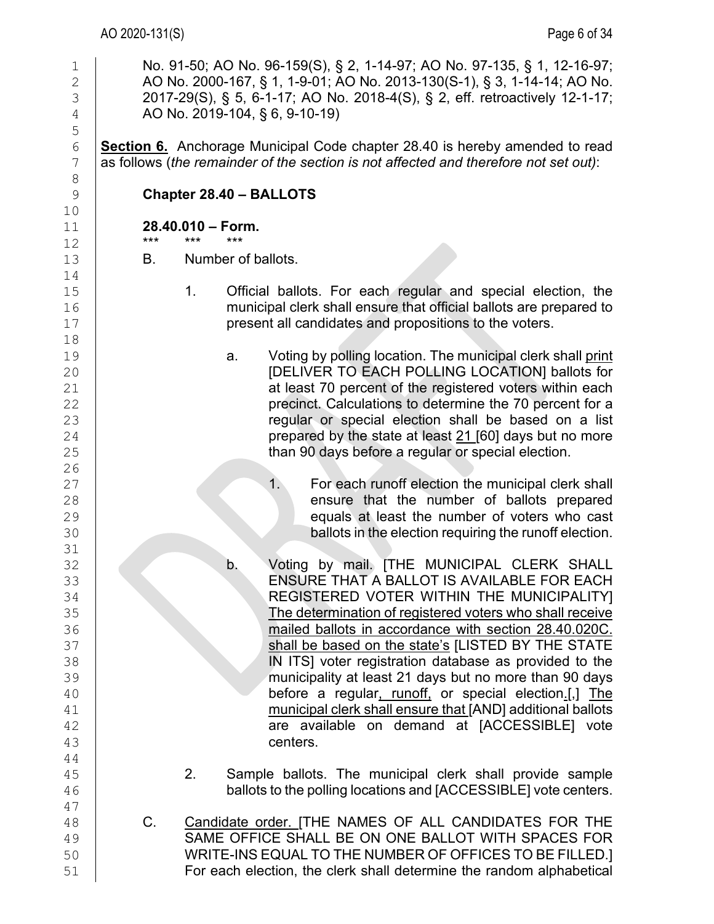| $\mathbf 1$<br>$\overline{c}$<br>3<br>$\overline{4}$ |       |                          |                         | No. 91-50; AO No. 96-159(S), § 2, 1-14-97; AO No. 97-135, § 1, 12-16-97;<br>AO No. 2000-167, § 1, 1-9-01; AO No. 2013-130(S-1), § 3, 1-14-14; AO No.<br>2017-29(S), § 5, 6-1-17; AO No. 2018-4(S), § 2, eff. retroactively 12-1-17;<br>AO No. 2019-104, § 6, 9-10-19) |
|------------------------------------------------------|-------|--------------------------|-------------------------|-----------------------------------------------------------------------------------------------------------------------------------------------------------------------------------------------------------------------------------------------------------------------|
| 5<br>$\epsilon$<br>$\overline{7}$                    |       |                          |                         | <b>Section 6.</b> Anchorage Municipal Code chapter 28.40 is hereby amended to read<br>as follows (the remainder of the section is not affected and therefore not set out):                                                                                            |
| $\,8\,$<br>9                                         |       |                          | Chapter 28.40 - BALLOTS |                                                                                                                                                                                                                                                                       |
| 10<br>11                                             | $***$ | 28.40.010 - Form.<br>*** | ***                     |                                                                                                                                                                                                                                                                       |
| 12<br>13                                             | В.    |                          | Number of ballots.      |                                                                                                                                                                                                                                                                       |
| 14                                                   |       |                          |                         |                                                                                                                                                                                                                                                                       |
| 15<br>16                                             |       | 1.                       |                         | Official ballots. For each regular and special election, the<br>municipal clerk shall ensure that official ballots are prepared to                                                                                                                                    |
| 17                                                   |       |                          |                         | present all candidates and propositions to the voters.                                                                                                                                                                                                                |
| 18<br>19                                             |       |                          | a.                      | Voting by polling location. The municipal clerk shall print                                                                                                                                                                                                           |
| 20                                                   |       |                          |                         | [DELIVER TO EACH POLLING LOCATION] ballots for                                                                                                                                                                                                                        |
| 21                                                   |       |                          |                         | at least 70 percent of the registered voters within each                                                                                                                                                                                                              |
| 22                                                   |       |                          |                         | precinct. Calculations to determine the 70 percent for a                                                                                                                                                                                                              |
| 23                                                   |       |                          |                         | regular or special election shall be based on a list                                                                                                                                                                                                                  |
| 24                                                   |       |                          |                         | prepared by the state at least 21 [60] days but no more                                                                                                                                                                                                               |
| 25                                                   |       |                          |                         | than 90 days before a regular or special election.                                                                                                                                                                                                                    |
| 26                                                   |       |                          |                         |                                                                                                                                                                                                                                                                       |
| 27                                                   |       |                          |                         | For each runoff election the municipal clerk shall<br>1.                                                                                                                                                                                                              |
| 28                                                   |       |                          |                         | ensure that the number of ballots prepared                                                                                                                                                                                                                            |
| 29                                                   |       |                          |                         | equals at least the number of voters who cast                                                                                                                                                                                                                         |
| 30                                                   |       |                          |                         | ballots in the election requiring the runoff election.                                                                                                                                                                                                                |
| 31                                                   |       |                          |                         |                                                                                                                                                                                                                                                                       |
| 32                                                   |       |                          | b.                      | Voting by mail. [THE MUNICIPAL CLERK SHALL<br>ENSURE THAT A BALLOT IS AVAILABLE FOR EACH                                                                                                                                                                              |
| 33<br>34                                             |       |                          |                         | REGISTERED VOTER WITHIN THE MUNICIPALITY]                                                                                                                                                                                                                             |
| 35                                                   |       |                          |                         | The determination of registered voters who shall receive                                                                                                                                                                                                              |
| 36                                                   |       |                          |                         | mailed ballots in accordance with section 28.40.020C.                                                                                                                                                                                                                 |
| 37                                                   |       |                          |                         | shall be based on the state's [LISTED BY THE STATE                                                                                                                                                                                                                    |
| 38                                                   |       |                          |                         | IN ITS] voter registration database as provided to the                                                                                                                                                                                                                |
| 39                                                   |       |                          |                         | municipality at least 21 days but no more than 90 days                                                                                                                                                                                                                |
| 40                                                   |       |                          |                         | before a regular, runoff, or special election.[,] The                                                                                                                                                                                                                 |
| 41                                                   |       |                          |                         | municipal clerk shall ensure that [AND] additional ballots                                                                                                                                                                                                            |
| 42                                                   |       |                          |                         | are available on demand at [ACCESSIBLE] vote                                                                                                                                                                                                                          |
| 43                                                   |       |                          |                         | centers.                                                                                                                                                                                                                                                              |
| 44                                                   |       |                          |                         |                                                                                                                                                                                                                                                                       |
| 45                                                   |       | 2.                       |                         | Sample ballots. The municipal clerk shall provide sample                                                                                                                                                                                                              |
| 46                                                   |       |                          |                         | ballots to the polling locations and [ACCESSIBLE] vote centers.                                                                                                                                                                                                       |
| 47                                                   |       |                          |                         |                                                                                                                                                                                                                                                                       |
| 48                                                   | C.    |                          |                         | Candidate order. [THE NAMES OF ALL CANDIDATES FOR THE                                                                                                                                                                                                                 |
| 49                                                   |       |                          |                         | SAME OFFICE SHALL BE ON ONE BALLOT WITH SPACES FOR                                                                                                                                                                                                                    |
| 50                                                   |       |                          |                         | WRITE-INS EQUAL TO THE NUMBER OF OFFICES TO BE FILLED.]                                                                                                                                                                                                               |
| 51                                                   |       |                          |                         | For each election, the clerk shall determine the random alphabetical                                                                                                                                                                                                  |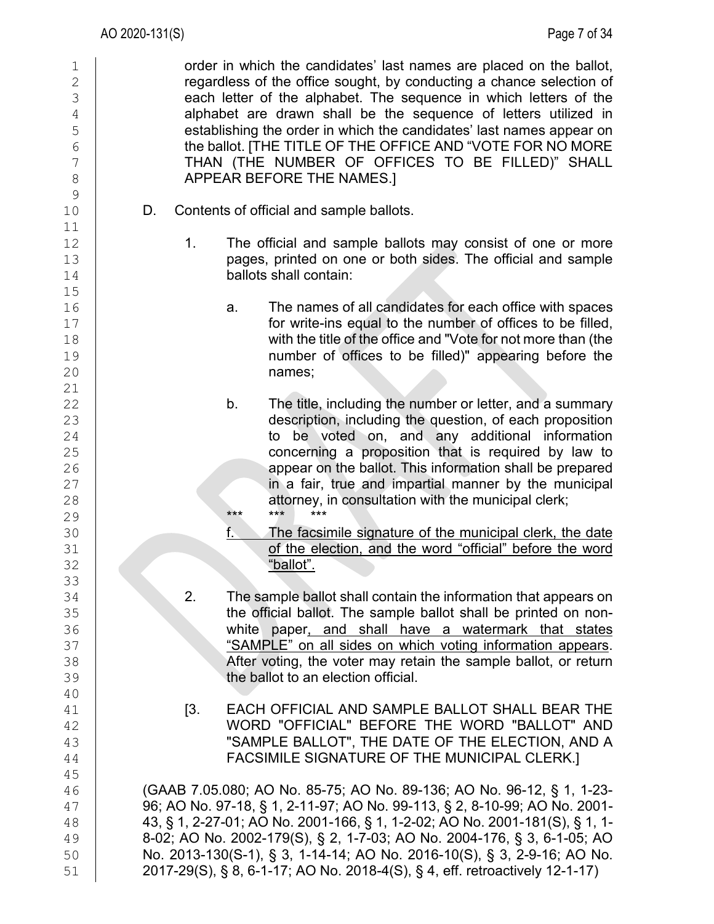1 order in which the candidates' last names are placed on the ballot,<br>
2 examples a regardless of the office sought, by conducting a chance selection of 2 regardless of the office sought, by conducting a chance selection of <br>3 each letter of the alphabet. The sequence in which letters of the each letter of the alphabet. The sequence in which letters of the  $\frac{4}{5}$  alphabet are drawn shall be the sequence of letters utilized in<br>5 5 establishing the order in which the candidates' last names appear on<br>
the ballot. [THE TITLE OF THE OFFICE AND "VOTE FOR NO MORE 6 the ballot. [THE TITLE OF THE OFFICE AND "VOTE FOR NO MORE<br>7 THAN (THE NUMBER OF OFFICES TO BE FILLED)" SHALL 7 THAN (THE NUMBER OF OFFICES TO BE FILLED)" SHALL<br>8 APPEAR BEFORE THE NAMES.I 8 APPEAR BEFORE THE NAMES.]  $\begin{array}{c} 9 \\ 10 \end{array}$ D. Contents of official and sample ballots. 11<br>12 12 1. The official and sample ballots may consist of one or more<br>13 13 13 **pages, printed on one or both sides. The official and sample ballots shall contain:** ballots shall contain:  $15$ <br> $16$ 16 **a.** The names of all candidates for each office with spaces<br>17 **and 17** for write-ins equal to the number of offices to be filled. 17 **for write-ins equal to the number of offices to be filled,**<br>18 **how with the title of the office and "Vote for not more than (the** 18 with the title of the office and "Vote for not more than (the 19 matrice 19 matrice 19 matrice 19 matrice 1<br>19 manumber of offices to be filled)" appearing before the 19 **number of offices to be filled)" appearing before the**<br>20 **names**; names;  $\frac{21}{22}$ 22 b. The title, including the number or letter, and a summary<br>23 description, including the question, of each proposition 23 description, including the question, of each proposition<br>24 description, including the question, of each proposition 24 to be voted on, and any additional information 25 concerning a proposition that is required by law to<br>26 **concerning a proposition that is required by law to**<br>26 appear on the ballot. This information shall be prepared 27 in a fair, true and impartial manner by the municipal 28 attorney, in consultation with the municipal clerk; 28 attorney, in consultation with the municipal clerk;<br>29 29 **\*\*\* \*\*\* \*\*\* \*\*\*** 30 **f.** The facsimile signature of the municipal clerk, the date<br>31 **of the election, and the word "official" before the word** 31 of the election, and the word "official" before the word <sup>32</sup> before the word "ballot". "ballot". 33 34 2. The sample ballot shall contain the information that appears on<br>35 **1991 12. The sample ballot shall be printed on non-**35 the official ballot. The sample ballot shall be printed on non-<br>36 **the official ballot. The sample ballot shall be printed on non-**36 white paper<u>, and shall have a watermark that states</u><br>37 SAMPLE" on all sides on which voting information appears. 37 SAMPLE" on all sides on which voting information appears.<br>38 After voting, the voter may retain the sample ballot, or return After voting, the voter may retain the sample ballot, or return 39 the ballot to an election official. 40<br>41 41 [3. EACH OFFICIAL AND SAMPLE BALLOT SHALL BEAR THE 42 WORD "OFFICIAL" BEFORE THE WORD "BALLOT" AND<br>43 SAMPLE BALLOT". THE DATE OF THE ELECTION. AND A 43 "SAMPLE BALLOT", THE DATE OF THE ELECTION, AND A FACSIMILE SIGNATURE OF THE MUNICIPAL CLERK.] 45 46 (GAAB 7.05.080; AO No. 85-75; AO No. 89-136; AO No. 96-12, § 1, 1-23- 47 96; AO No. 97-18, § 1, 2-11-97; AO No. 99-113, § 2, 8-10-99; AO No. 2001- 48 43, § 1, 2-27-01; AO No. 2001-166, § 1, 1-2-02; AO No. 2001-181(S), § 1, 1- 49 8-02; AO No. 2002-179(S), § 2, 1-7-03; AO No. 2004-176, § 3, 6-1-05; AO 50 No. 2013-130(S-1), § 3, 1-14-14; AO No. 2016-10(S), § 3, 2-9-16; AO No. 51 2017-29(S), § 8, 6-1-17; AO No. 2018-4(S), § 4, eff. retroactively 12-1-17)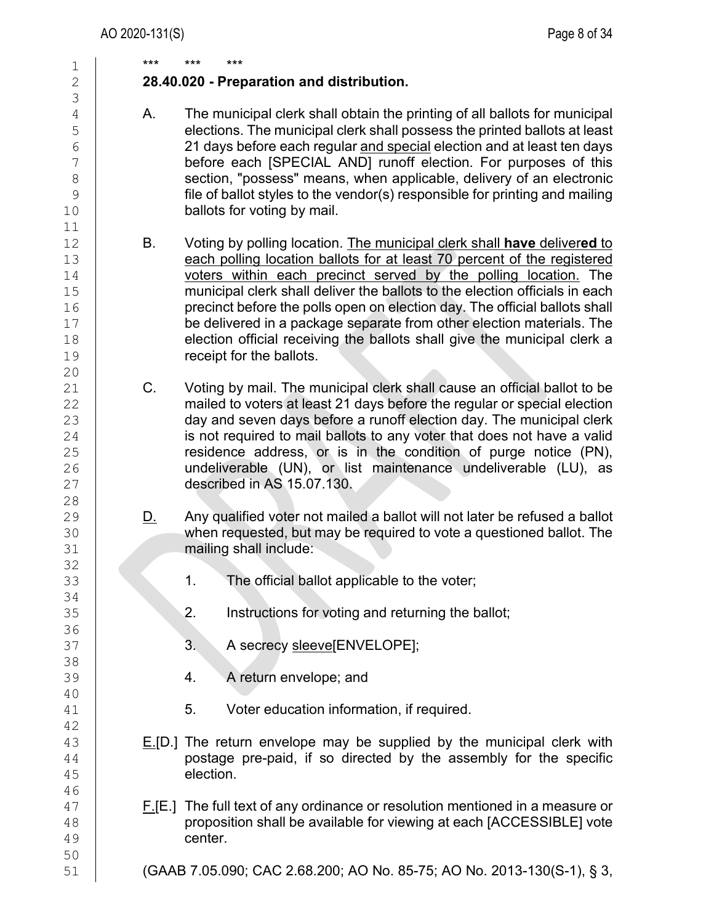| 1                                                                                       | ***         | ***       | ***                                                                                                                                                                                                                                                                                                                                                                                                                                                                                                                                                                 |
|-----------------------------------------------------------------------------------------|-------------|-----------|---------------------------------------------------------------------------------------------------------------------------------------------------------------------------------------------------------------------------------------------------------------------------------------------------------------------------------------------------------------------------------------------------------------------------------------------------------------------------------------------------------------------------------------------------------------------|
| $\overline{2}$<br>3                                                                     |             |           | 28.40.020 - Preparation and distribution.                                                                                                                                                                                                                                                                                                                                                                                                                                                                                                                           |
| $\sqrt{4}$<br>5<br>$\sqrt{6}$<br>$\overline{7}$<br>$\,8\,$<br>$\mathcal{G}$<br>10<br>11 | Α.          |           | The municipal clerk shall obtain the printing of all ballots for municipal<br>elections. The municipal clerk shall possess the printed ballots at least<br>21 days before each regular and special election and at least ten days<br>before each [SPECIAL AND] runoff election. For purposes of this<br>section, "possess" means, when applicable, delivery of an electronic<br>file of ballot styles to the vendor(s) responsible for printing and mailing<br>ballots for voting by mail.                                                                          |
| 12<br>13<br>14<br>15<br>16<br>17<br>18<br>19<br>20                                      | B.          |           | Voting by polling location. The municipal clerk shall have delivered to<br>each polling location ballots for at least 70 percent of the registered<br>voters within each precinct served by the polling location. The<br>municipal clerk shall deliver the ballots to the election officials in each<br>precinct before the polls open on election day. The official ballots shall<br>be delivered in a package separate from other election materials. The<br>election official receiving the ballots shall give the municipal clerk a<br>receipt for the ballots. |
| 21<br>22<br>23<br>24<br>25<br>26<br>27<br>28                                            | $C_{\cdot}$ |           | Voting by mail. The municipal clerk shall cause an official ballot to be<br>mailed to voters at least 21 days before the regular or special election<br>day and seven days before a runoff election day. The municipal clerk<br>is not required to mail ballots to any voter that does not have a valid<br>residence address, or is in the condition of purge notice (PN),<br>undeliverable (UN), or list maintenance undeliverable (LU), as<br>described in AS 15.07.130.                                                                                          |
| 29<br>30<br>31                                                                          | <u>D.</u>   |           | Any qualified voter not mailed a ballot will not later be refused a ballot<br>when requested, but may be required to vote a questioned ballot. The<br>mailing shall include:                                                                                                                                                                                                                                                                                                                                                                                        |
| 32<br>33                                                                                |             | 1.        | The official ballot applicable to the voter;                                                                                                                                                                                                                                                                                                                                                                                                                                                                                                                        |
| 34<br>35<br>36                                                                          |             | 2.        | Instructions for voting and returning the ballot;                                                                                                                                                                                                                                                                                                                                                                                                                                                                                                                   |
| 37<br>38                                                                                |             | 3.        | A secrecy sleeve[ENVELOPE];                                                                                                                                                                                                                                                                                                                                                                                                                                                                                                                                         |
| 39<br>40                                                                                |             | 4.        | A return envelope; and                                                                                                                                                                                                                                                                                                                                                                                                                                                                                                                                              |
| 41<br>42                                                                                |             | 5.        | Voter education information, if required.                                                                                                                                                                                                                                                                                                                                                                                                                                                                                                                           |
| 43<br>44<br>45<br>46                                                                    |             | election. | $E[D]$ The return envelope may be supplied by the municipal clerk with<br>postage pre-paid, if so directed by the assembly for the specific                                                                                                                                                                                                                                                                                                                                                                                                                         |
| 47<br>48<br>49<br>50                                                                    |             | center.   | $F[F.$ ] The full text of any ordinance or resolution mentioned in a measure or<br>proposition shall be available for viewing at each [ACCESSIBLE] vote                                                                                                                                                                                                                                                                                                                                                                                                             |
| 51                                                                                      |             |           | (GAAB 7.05.090; CAC 2.68.200; AO No. 85-75; AO No. 2013-130(S-1), § 3,                                                                                                                                                                                                                                                                                                                                                                                                                                                                                              |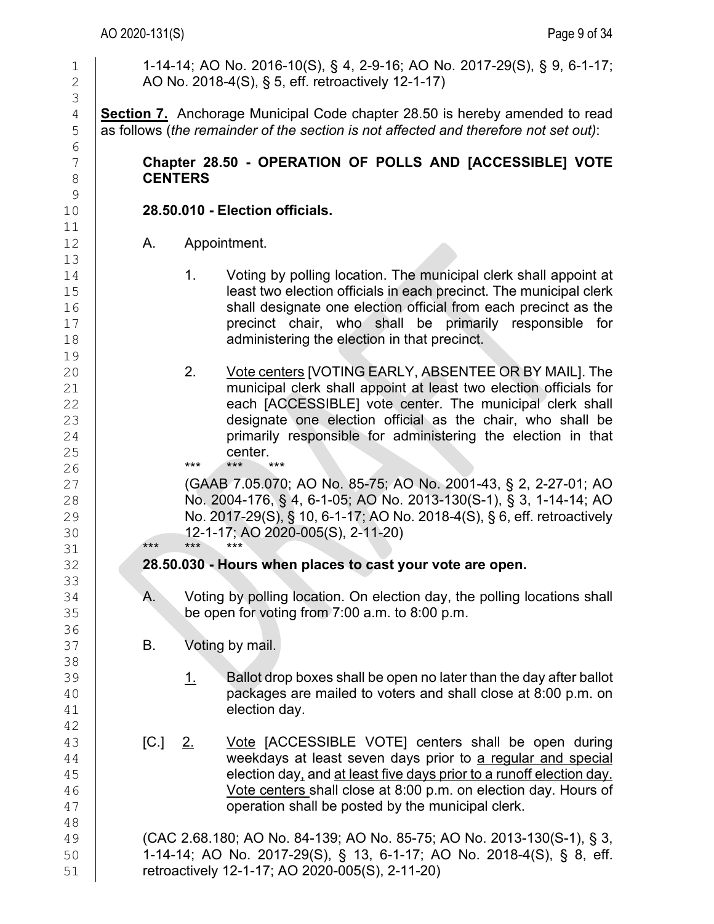#### AO 2020-131(S) Page 9 of 34

1 1-14-14; AO No. 2016-10(S), § 4, 2-9-16; AO No. 2017-29(S), § 9, 6-1-17;<br>2 AO No. 2018-4(S), § 5, eff. retroactively 12-1-17) 2 AO No. 2018-4(S), § 5, eff. retroactively 12-1-17) 3 4 **Section 7.** Anchorage Municipal Code chapter 28.50 is hereby amended to read as follows (the remainder of the section is not affected and therefore not set out): as follows (*the remainder of the section is not affected and therefore not set out*): 6<br>7 7 **Chapter 28.50 - OPERATION OF POLLS AND [ACCESSIBLE] VOTE**  8 **CENTERS**  $\begin{array}{c} 9 \\ 10 \end{array}$ 10 **28.50.010 - Election officials.** 11<br>12 A. Appointment. 13 14 1. Voting by polling location. The municipal clerk shall appoint at 15 least two election officials in each precinct. The municipal clerk<br>16 **houries in the shall designate one election official from each precinct as the** 16 **Shall designate one election official from each precinct as the set of the state of the state of the state of the state of the state of the state of the state of the state of the state of the state of the state of the** 17 **precinct chair, who shall be primarily responsible for** that is administering the election in that precinct. administering the election in that precinct. 19<br>20 2. Vote centers [VOTING EARLY, ABSENTEE OR BY MAIL]. The 21 can municipal clerk shall appoint at least two election officials for<br>22 cach IACCESSIBLEI vote center. The municipal clerk shall 22 each [ACCESSIBLE] vote center. The municipal clerk shall<br>23 designate one election official as the chair, who shall be 23 designate one election official as the chair, who shall be<br>24 primarily responsible for administering the election in that 24 **primarily responsible for administering the election in that**<br>25 **center**. 25 center.<br>26 **center.** 26 **\*\*\* \*\*\* \*\*\* \*\*\*** 27 (GAAB 7.05.070; AO No. 85-75; AO No. 2001-43, § 2, 2-27-01; AO 28 No. 2004-176, § 4, 6-1-05; AO No. 2013-130(S-1), § 3, 1-14-14; AO 29 No. 2017-29(S), § 10, 6-1-17; AO No. 2018-4(S), § 6, eff. retroactively<br>30 12-1-17; AO 2020-005(S), 2-11-20) 30 12-1-17; AO 2020-005(S), 2-11-20) 31 \*\*\* \*\*\* \*\*\* 32 **28.50.030 - Hours when places to cast your vote are open.** 33<br>34 34 A. Voting by polling location. On election day, the polling locations shall<br>35 be open for voting from 7:00 a.m. to 8:00 p.m. be open for voting from  $7:00$  a.m. to  $8:00$  p.m. 36<br>37 B. Voting by mail. 38 39  $\frac{1}{2}$  Ballot drop boxes shall be open no later than the day after ballot 40 40 **packages are mailed to voters and shall close at 8:00 p.m. on**<br>41 **election dav**. election day. 42<br>43  $\begin{array}{c|c} 43 & C. & \underline{2.} & \underline{Note} \text{ [ACCESSIBLE VOTE]} \text{ centers shall be open during} \\ 44 & \text{weakdays at least seven days prior to a regular and special} \end{array}$ 44 weekdays at least seven days prior to <u>a regular and special</u><br>45 election day, and at least five days prior to a runoff election day. 45 election day, and <u>at least five days prior to a runoff election day.</u><br>46 Yote centers shall close at 8:00 p.m. on election day. Hours of Vote centers shall close at 8:00 p.m. on election day. Hours of 47 **Fig. 2.1** operation shall be posted by the municipal clerk. 48 49 (CAC 2.68.180; AO No. 84-139; AO No. 85-75; AO No. 2013-130(S-1), § 3, 50 1-14-14; AO No. 2017-29(S), § 13, 6-1-17; AO No. 2018-4(S), § 8, eff. retroactively 12-1-17; AO 2020-005(S), 2-11-20)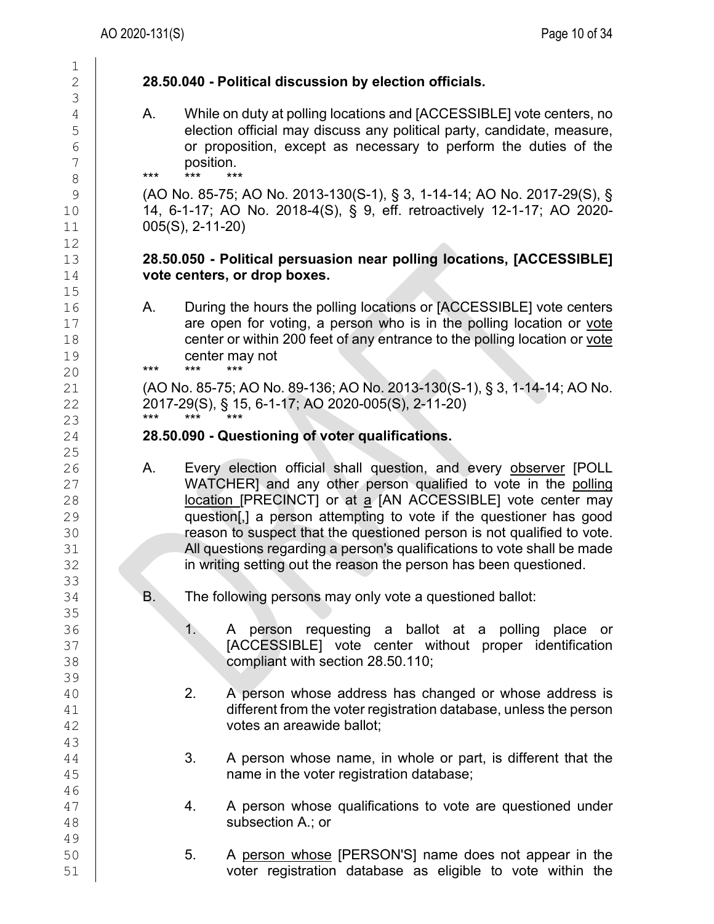# $\frac{1}{2}$ 3 12<br>13  $15$ <br> $16$ 20 \*\*\* \*\*\* \*\*\*  $\frac{25}{26}$ 33<br>34 35<br>36 39<br>40 43 46 49<br>50

# 2 **28.50.040 - Political discussion by election officials.**

4 A. While on duty at polling locations and [ACCESSIBLE] vote centers, no<br>5 election official may discuss any political party, candidate, measure, 5 election official may discuss any political party, candidate, measure,<br>6 or proposition, except as necessary to perform the duties of the  $\begin{array}{c|c}\n6 & \text{or proposition, except as necessary to perform the duties of the position.}\n\end{array}$  $\begin{array}{c} 7 \\ 8 \end{array}$  position.

8 **\*\*\* \*\*\* \*\*\*** 

9 (AO No. 85-75; AO No. 2013-130(S-1), § 3, 1-14-14; AO No. 2017-29(S), § 10 14, 6-1-17; AO No. 2018-4(S), § 9, eff. retroactively 12-1-17; AO 2020- 11 005(S), 2-11-20)

## 13 **28.50.050 - Political persuasion near polling locations, [ACCESSIBLE]** vote centers, or drop boxes.

16 A. During the hours the polling locations or [ACCESSIBLE] vote centers<br>17 **A. State of the polling and the polling location** or vote  $\begin{array}{c|c} 17 & \text{arc open for voting, a person who is in the polling location or vote centen or within 200 feet of any entrance to the polling location or vote.$ 18 center or within 200 feet of any entrance to the polling location or <u>vote</u><br>19 center may not 19 center may not<br>20 **\*\*\*** \*\*\* \*\*\* \*\*\*

21 (AO No. 85-75; AO No. 89-136; AO No. 2013-130(S-1), § 3, 1-14-14; AO No.<br>22 2017-29(S). § 15, 6-1-17: AO 2020-005(S). 2-11-20) 22 2017-29(S), § 15, 6-1-17; AO 2020-005(S), 2-11-20) 23 \*\*\* \*\*\* \*\*\*

## 24 **28.50.090 - Questioning of voter qualifications.**

- 26 A. Every election official shall question, and every observer [POLL<br>27 WATCHER] and any other person qualified to vote in the polling 27 WATCHER] and any other person qualified to vote in the polling<br>28 **Interpolation in the UNECONCTI** or at a JAN ACCESSIBLE] vote center may 28 **location [PRECINCT]** or at a [AN ACCESSIBLE] vote center may<br>29 **question[,]** a person attempting to vote if the questioner has good 29 question[,] a person attempting to vote if the questioner has good<br>30 **contract of the contract of the questioned** person is not qualified to vote. 30 reason to suspect that the questioned person is not qualified to vote.<br>31 All questions regarding a person's qualifications to vote shall be made 31 All questions regarding a person's qualifications to vote shall be made<br>32 **All and Strategies** in writing setting out the reason the person has been questioned. in writing setting out the reason the person has been questioned.
	- B. The following persons may only vote a questioned ballot:
- 36 1. A person requesting a ballot at a polling place or<br>37 **1. A CCESSIBLEI vote center without proper identification** 37 [ACCESSIBLE] vote center without proper identification<br>38 **[ACCESSIBLE]** vote center without proper identification compliant with section 28.50.110;
- 40 2. A person whose address has changed or whose address is<br>41 different from the voter registration database, unless the person  $\begin{array}{c|c} 41 & \text{differential} & \text{differential} \\ 42 & \text{votes an are} & \text{vectors} \end{array}$ votes an areawide ballot;
- $\begin{array}{c|c} 44 & 3. & A person whose name, in whole or part, is different that the name in the voter registration database: \end{array}$ name in the voter registration database;
- $\begin{array}{c|c} 47 & 4. & A person whose qualifications to vote are questioned under subsection A.; or \end{array}$ subsection A.; or
- 50 5. A person whose [PERSON'S] name does not appear in the<br>51 **5** voter registration database as eligible to vote within the voter registration database as eligible to vote within the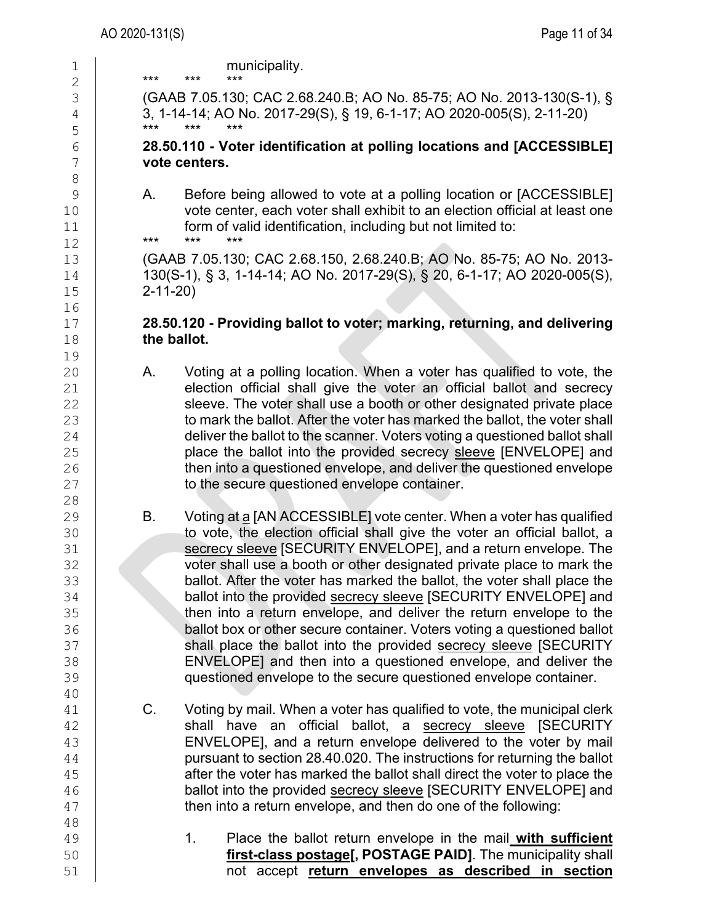| 1<br>2                                             | municipality.<br>***<br>***                                                                                                                                                                                                                                                                                                                                                                                                                                                                                                                                                       |
|----------------------------------------------------|-----------------------------------------------------------------------------------------------------------------------------------------------------------------------------------------------------------------------------------------------------------------------------------------------------------------------------------------------------------------------------------------------------------------------------------------------------------------------------------------------------------------------------------------------------------------------------------|
| 3                                                  | (GAAB 7.05.130; CAC 2.68.240.B; AO No. 85-75; AO No. 2013-130(S-1), §                                                                                                                                                                                                                                                                                                                                                                                                                                                                                                             |
| $\overline{4}$                                     | 3, 1-14-14; AO No. 2017-29(S), § 19, 6-1-17; AO 2020-005(S), 2-11-20)                                                                                                                                                                                                                                                                                                                                                                                                                                                                                                             |
| 5                                                  | ***                                                                                                                                                                                                                                                                                                                                                                                                                                                                                                                                                                               |
| $\epsilon$                                         | 28.50.110 - Voter identification at polling locations and [ACCESSIBLE]                                                                                                                                                                                                                                                                                                                                                                                                                                                                                                            |
| 7                                                  | vote centers.                                                                                                                                                                                                                                                                                                                                                                                                                                                                                                                                                                     |
| 8<br>$\mathsf 9$<br>10<br>11                       | Before being allowed to vote at a polling location or [ACCESSIBLE]<br>А.<br>vote center, each voter shall exhibit to an election official at least one<br>form of valid identification, including but not limited to:<br>***<br>***                                                                                                                                                                                                                                                                                                                                               |
| 12<br>13<br>14<br>15<br>16                         | (GAAB 7.05.130; CAC 2.68.150, 2.68.240.B; AO No. 85-75; AO No. 2013-<br>130(S-1), § 3, 1-14-14; AO No. 2017-29(S), § 20, 6-1-17; AO 2020-005(S),<br>$2 - 11 - 20$                                                                                                                                                                                                                                                                                                                                                                                                                 |
| 17<br>18<br>19                                     | 28.50.120 - Providing ballot to voter; marking, returning, and delivering<br>the ballot.                                                                                                                                                                                                                                                                                                                                                                                                                                                                                          |
| 20                                                 | Voting at a polling location. When a voter has qualified to vote, the                                                                                                                                                                                                                                                                                                                                                                                                                                                                                                             |
| 21                                                 | Α.                                                                                                                                                                                                                                                                                                                                                                                                                                                                                                                                                                                |
| 22                                                 | election official shall give the voter an official ballot and secrecy                                                                                                                                                                                                                                                                                                                                                                                                                                                                                                             |
| 23                                                 | sleeve. The voter shall use a booth or other designated private place                                                                                                                                                                                                                                                                                                                                                                                                                                                                                                             |
| 24                                                 | to mark the ballot. After the voter has marked the ballot, the voter shall                                                                                                                                                                                                                                                                                                                                                                                                                                                                                                        |
| 25                                                 | deliver the ballot to the scanner. Voters voting a questioned ballot shall                                                                                                                                                                                                                                                                                                                                                                                                                                                                                                        |
| 26                                                 | place the ballot into the provided secrecy sleeve [ENVELOPE] and                                                                                                                                                                                                                                                                                                                                                                                                                                                                                                                  |
| 27                                                 | then into a questioned envelope, and deliver the questioned envelope                                                                                                                                                                                                                                                                                                                                                                                                                                                                                                              |
| 28                                                 | to the secure questioned envelope container.                                                                                                                                                                                                                                                                                                                                                                                                                                                                                                                                      |
| 29                                                 | Voting at a [AN ACCESSIBLE] vote center. When a voter has qualified                                                                                                                                                                                                                                                                                                                                                                                                                                                                                                               |
| 30                                                 | В.                                                                                                                                                                                                                                                                                                                                                                                                                                                                                                                                                                                |
| 31                                                 | to vote, the election official shall give the voter an official ballot, a                                                                                                                                                                                                                                                                                                                                                                                                                                                                                                         |
| 32                                                 | secrecy sleeve [SECURITY ENVELOPE], and a return envelope. The                                                                                                                                                                                                                                                                                                                                                                                                                                                                                                                    |
| 33                                                 | voter shall use a booth or other designated private place to mark the                                                                                                                                                                                                                                                                                                                                                                                                                                                                                                             |
| 34                                                 | ballot. After the voter has marked the ballot, the voter shall place the                                                                                                                                                                                                                                                                                                                                                                                                                                                                                                          |
| 35                                                 | ballot into the provided secrecy sleeve [SECURITY ENVELOPE] and                                                                                                                                                                                                                                                                                                                                                                                                                                                                                                                   |
| 36                                                 | then into a return envelope, and deliver the return envelope to the                                                                                                                                                                                                                                                                                                                                                                                                                                                                                                               |
| 37                                                 | ballot box or other secure container. Voters voting a questioned ballot                                                                                                                                                                                                                                                                                                                                                                                                                                                                                                           |
| 38                                                 | shall place the ballot into the provided secrecy sleeve [SECURITY                                                                                                                                                                                                                                                                                                                                                                                                                                                                                                                 |
| 39                                                 | ENVELOPE] and then into a questioned envelope, and deliver the                                                                                                                                                                                                                                                                                                                                                                                                                                                                                                                    |
| 40                                                 | questioned envelope to the secure questioned envelope container.                                                                                                                                                                                                                                                                                                                                                                                                                                                                                                                  |
| 41<br>42<br>43<br>44<br>45<br>46<br>47<br>48<br>49 | C.<br>Voting by mail. When a voter has qualified to vote, the municipal clerk<br>shall have an official ballot, a secrecy sleeve [SECURITY<br>ENVELOPE], and a return envelope delivered to the voter by mail<br>pursuant to section 28.40.020. The instructions for returning the ballot<br>after the voter has marked the ballot shall direct the voter to place the<br>ballot into the provided secrecy sleeve [SECURITY ENVELOPE] and<br>then into a return envelope, and then do one of the following:<br>1.<br>Place the ballot return envelope in the mail with sufficient |
| 50                                                 | first-class postage[, POSTAGE PAID]. The municipality shall                                                                                                                                                                                                                                                                                                                                                                                                                                                                                                                       |
| 51                                                 | not accept return envelopes as described in section                                                                                                                                                                                                                                                                                                                                                                                                                                                                                                                               |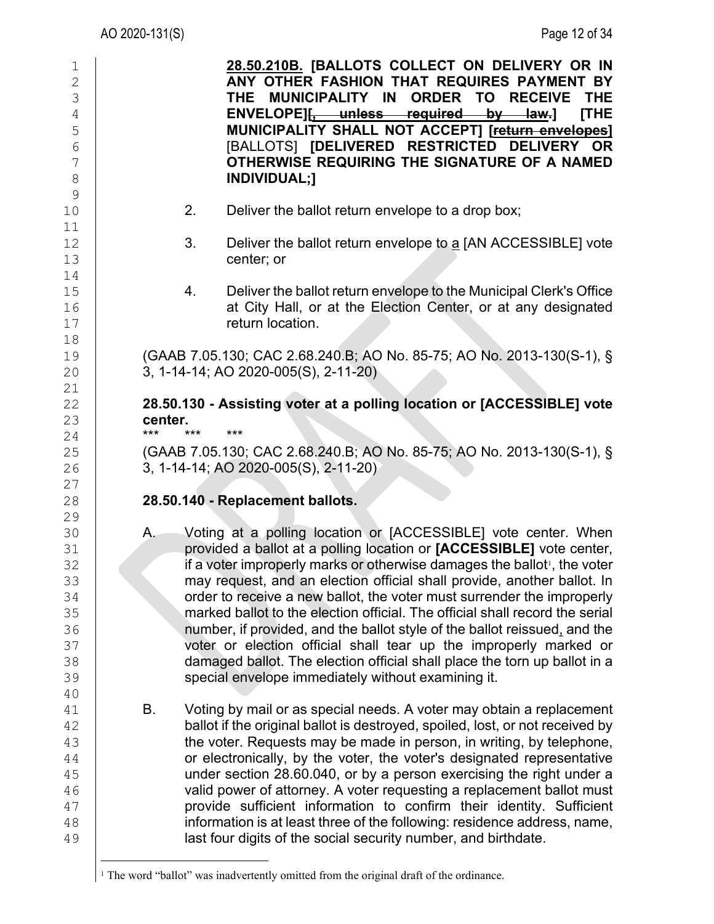| 1<br>$\overline{2}$<br>3<br>$\sqrt{4}$<br>5<br>$6\phantom{.}6$<br>7<br>8<br>9 | 28.50.210B. [BALLOTS COLLECT ON DELIVERY OR IN<br>ANY OTHER FASHION THAT REQUIRES PAYMENT BY<br>THE MUNICIPALITY IN<br><b>ORDER TO RECEIVE</b><br><b>THE</b><br>[THE<br>ENVELOPE][, unless required by law.]<br>MUNICIPALITY SHALL NOT ACCEPT] [return envelopes]<br>[BALLOTS] [DELIVERED RESTRICTED DELIVERY OR<br>OTHERWISE REQUIRING THE SIGNATURE OF A NAMED<br><b>INDIVIDUAL;1</b>                                                                                                                                                                                                                                                                                                                                                                        |
|-------------------------------------------------------------------------------|----------------------------------------------------------------------------------------------------------------------------------------------------------------------------------------------------------------------------------------------------------------------------------------------------------------------------------------------------------------------------------------------------------------------------------------------------------------------------------------------------------------------------------------------------------------------------------------------------------------------------------------------------------------------------------------------------------------------------------------------------------------|
| 10<br>11                                                                      | 2.<br>Deliver the ballot return envelope to a drop box;                                                                                                                                                                                                                                                                                                                                                                                                                                                                                                                                                                                                                                                                                                        |
| 12<br>13                                                                      | 3.<br>Deliver the ballot return envelope to a [AN ACCESSIBLE] vote<br>center; or                                                                                                                                                                                                                                                                                                                                                                                                                                                                                                                                                                                                                                                                               |
| 14<br>15<br>16<br>17                                                          | Deliver the ballot return envelope to the Municipal Clerk's Office<br>4.<br>at City Hall, or at the Election Center, or at any designated<br>return location.                                                                                                                                                                                                                                                                                                                                                                                                                                                                                                                                                                                                  |
| 18<br>19<br>20<br>21                                                          | (GAAB 7.05.130; CAC 2.68.240.B; AO No. 85-75; AO No. 2013-130(S-1), §<br>3, 1-14-14; AO 2020-005(S), 2-11-20)                                                                                                                                                                                                                                                                                                                                                                                                                                                                                                                                                                                                                                                  |
| 22<br>23                                                                      | 28.50.130 - Assisting voter at a polling location or [ACCESSIBLE] vote<br>center.                                                                                                                                                                                                                                                                                                                                                                                                                                                                                                                                                                                                                                                                              |
| 24<br>25<br>26                                                                | $***$<br>***<br>$***$<br>(GAAB 7.05.130; CAC 2.68.240.B; AO No. 85-75; AO No. 2013-130(S-1), §<br>3, 1-14-14; AO 2020-005(S), 2-11-20)                                                                                                                                                                                                                                                                                                                                                                                                                                                                                                                                                                                                                         |
| 27<br>28<br>29                                                                | 28.50.140 - Replacement ballots.                                                                                                                                                                                                                                                                                                                                                                                                                                                                                                                                                                                                                                                                                                                               |
| 30<br>31<br>32<br>33<br>34<br>35<br>36<br>37<br>38<br>39                      | Voting at a polling location or [ACCESSIBLE] vote center. When<br>A.<br>provided a ballot at a polling location or [ACCESSIBLE] vote center,<br>if a voter improperly marks or otherwise damages the ballot <sup>1</sup> , the voter<br>may request, and an election official shall provide, another ballot. In<br>order to receive a new ballot, the voter must surrender the improperly<br>marked ballot to the election official. The official shall record the serial<br>number, if provided, and the ballot style of the ballot reissued, and the<br>voter or election official shall tear up the improperly marked or<br>damaged ballot. The election official shall place the torn up ballot in a<br>special envelope immediately without examining it. |
| 40<br>41<br>42<br>43<br>44<br>45<br>46<br>47<br>48<br>49                      | В.<br>Voting by mail or as special needs. A voter may obtain a replacement<br>ballot if the original ballot is destroyed, spoiled, lost, or not received by<br>the voter. Requests may be made in person, in writing, by telephone,<br>or electronically, by the voter, the voter's designated representative<br>under section 28.60.040, or by a person exercising the right under a<br>valid power of attorney. A voter requesting a replacement ballot must<br>provide sufficient information to confirm their identity. Sufficient<br>information is at least three of the following: residence address, name,<br>last four digits of the social security number, and birthdate.                                                                           |

<span id="page-11-0"></span><sup>&</sup>lt;sup>1</sup> The word "ballot" was inadvertently omitted from the original draft of the ordinance.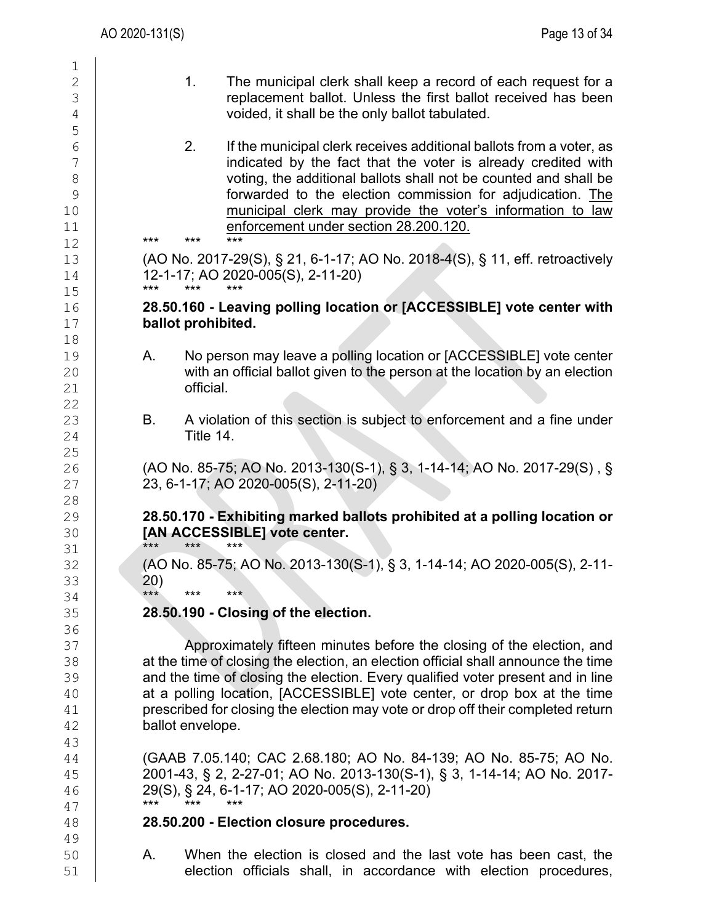| 1              |    |       |                    |                                                                                   |
|----------------|----|-------|--------------------|-----------------------------------------------------------------------------------|
| $\mathbf{2}$   |    |       | 1.                 | The municipal clerk shall keep a record of each request for a                     |
| 3              |    |       |                    | replacement ballot. Unless the first ballot received has been                     |
| $\overline{4}$ |    |       |                    | voided, it shall be the only ballot tabulated.                                    |
|                |    |       |                    |                                                                                   |
| 5              |    |       |                    |                                                                                   |
| $6\,$          |    |       | 2.                 | If the municipal clerk receives additional ballots from a voter, as               |
| $\overline{7}$ |    |       |                    | indicated by the fact that the voter is already credited with                     |
| $\,8\,$        |    |       |                    | voting, the additional ballots shall not be counted and shall be                  |
| 9              |    |       |                    | forwarded to the election commission for adjudication. The                        |
| 10             |    |       |                    | municipal clerk may provide the voter's information to law                        |
| 11             |    |       |                    | enforcement under section 28.200.120.                                             |
| 12             |    | $***$ | ***                | ***                                                                               |
| 13             |    |       |                    | (AO No. 2017-29(S), § 21, 6-1-17; AO No. 2018-4(S), § 11, eff. retroactively      |
|                |    |       |                    |                                                                                   |
| 14             |    | $***$ | ***                | 12-1-17; AO 2020-005(S), 2-11-20)                                                 |
| 15             |    |       |                    |                                                                                   |
| 16             |    |       |                    | 28.50.160 - Leaving polling location or [ACCESSIBLE] vote center with             |
| 17             |    |       | ballot prohibited. |                                                                                   |
| 18             |    |       |                    |                                                                                   |
| 19             |    | Α.    |                    | No person may leave a polling location or [ACCESSIBLE] vote center                |
| 20             |    |       |                    | with an official ballot given to the person at the location by an election        |
| 21             |    |       | official.          |                                                                                   |
| 22             |    |       |                    |                                                                                   |
| 23             |    | В.    |                    | A violation of this section is subject to enforcement and a fine under            |
|                |    |       | Title 14.          |                                                                                   |
| 24             |    |       |                    |                                                                                   |
| 25             |    |       |                    |                                                                                   |
| 26             |    |       |                    | (AO No. 85-75; AO No. 2013-130(S-1), § 3, 1-14-14; AO No. 2017-29(S), §           |
| 27             |    |       |                    | 23, 6-1-17; AO 2020-005(S), 2-11-20)                                              |
| 28             |    |       |                    |                                                                                   |
| 29             |    |       |                    | 28.50.170 - Exhibiting marked ballots prohibited at a polling location or         |
| 30             |    |       |                    | [AN ACCESSIBLE] vote center.                                                      |
| 31             |    | $***$ | $***$              | ***                                                                               |
| 32             |    |       |                    | (AO No. 85-75; AO No. 2013-130(S-1), § 3, 1-14-14; AO 2020-005(S), 2-11-          |
| 33             |    | (20)  |                    |                                                                                   |
| 34             |    | $***$ | ***                | $***$                                                                             |
| 35             |    |       |                    | 28.50.190 - Closing of the election.                                              |
| 36             |    |       |                    |                                                                                   |
|                |    |       |                    |                                                                                   |
| 37             |    |       |                    | Approximately fifteen minutes before the closing of the election, and             |
| 38             |    |       |                    | at the time of closing the election, an election official shall announce the time |
| 39             |    |       |                    | and the time of closing the election. Every qualified voter present and in line   |
| 40             |    |       |                    | at a polling location, [ACCESSIBLE] vote center, or drop box at the time          |
| 41             |    |       |                    | prescribed for closing the election may vote or drop off their completed return   |
| 42             |    |       | ballot envelope.   |                                                                                   |
| 43             |    |       |                    |                                                                                   |
| 44             |    |       |                    | (GAAB 7.05.140; CAC 2.68.180; AO No. 84-139; AO No. 85-75; AO No.                 |
| 45             |    |       |                    | 2001-43, § 2, 2-27-01; AO No. 2013-130(S-1), § 3, 1-14-14; AO No. 2017-           |
| 46             |    |       |                    | 29(S), § 24, 6-1-17; AO 2020-005(S), 2-11-20)                                     |
| 47             |    | $***$ | $***$              | ***                                                                               |
| 48             |    |       |                    | 28.50.200 - Election closure procedures.                                          |
|                |    |       |                    |                                                                                   |
| 49             |    |       |                    |                                                                                   |
| 50             | Α. |       |                    | When the election is closed and the last vote has been cast, the                  |
| 51             |    |       |                    | election officials shall, in accordance with election procedures,                 |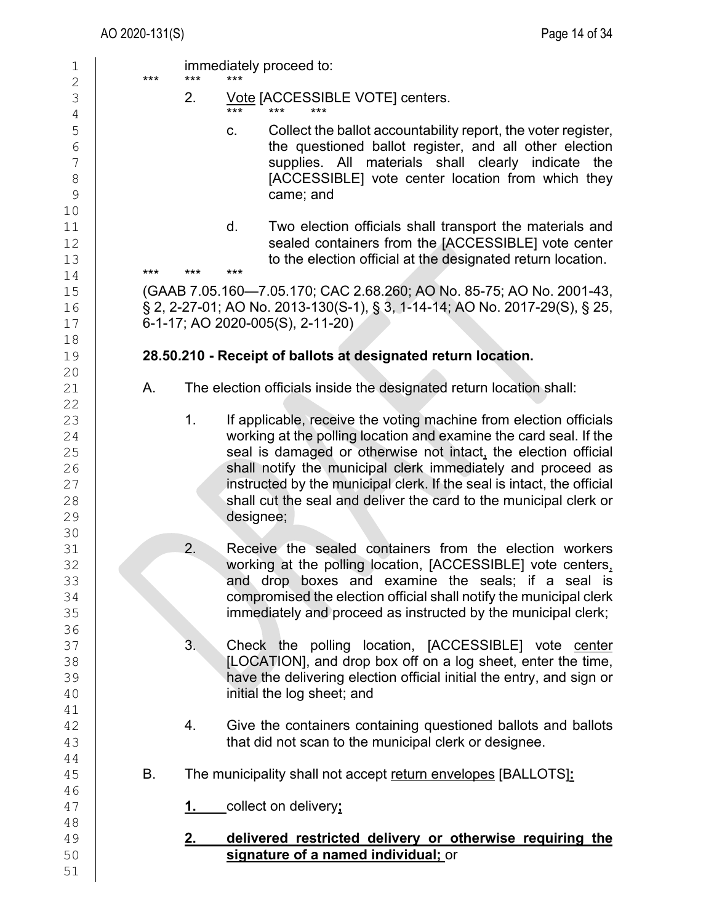| 1                   | *** | *** | immediately proceed to:<br>***                                                                     |
|---------------------|-----|-----|----------------------------------------------------------------------------------------------------|
| 2<br>$\mathfrak{Z}$ |     | 2.  | Vote [ACCESSIBLE VOTE] centers.                                                                    |
| $\overline{4}$      |     |     | ***<br>***                                                                                         |
| 5                   |     |     | Collect the ballot accountability report, the voter register,<br>C.                                |
| $\epsilon$          |     |     | the questioned ballot register, and all other election                                             |
| 7                   |     |     | supplies. All materials shall clearly indicate the                                                 |
| $\,8\,$             |     |     | [ACCESSIBLE] vote center location from which they                                                  |
| $\mathcal{G}$       |     |     | came; and                                                                                          |
| $10$                |     |     | d.<br>Two election officials shall transport the materials and                                     |
| 11<br>12            |     |     | sealed containers from the [ACCESSIBLE] vote center                                                |
| 13                  |     |     | to the election official at the designated return location.                                        |
| 14                  | *** | *** | ***                                                                                                |
| 15                  |     |     | (GAAB 7.05.160-7.05.170; CAC 2.68.260; AO No. 85-75; AO No. 2001-43,                               |
| 16                  |     |     | § 2, 2-27-01; AO No. 2013-130(S-1), § 3, 1-14-14; AO No. 2017-29(S), § 25,                         |
| 17                  |     |     | 6-1-17; AO 2020-005(S), 2-11-20)                                                                   |
| 18                  |     |     |                                                                                                    |
| 19                  |     |     | 28.50.210 - Receipt of ballots at designated return location.                                      |
| 20<br>21            | Α.  |     | The election officials inside the designated return location shall:                                |
| 22                  |     |     |                                                                                                    |
| 23                  |     | 1.  | If applicable, receive the voting machine from election officials                                  |
| 24                  |     |     | working at the polling location and examine the card seal. If the                                  |
| 25                  |     |     | seal is damaged or otherwise not intact, the election official                                     |
| 26                  |     |     | shall notify the municipal clerk immediately and proceed as                                        |
| 27                  |     |     | instructed by the municipal clerk. If the seal is intact, the official                             |
| 28                  |     |     | shall cut the seal and deliver the card to the municipal clerk or                                  |
| 29                  |     |     | designee;                                                                                          |
| 30<br>31            |     | 2.  | Receive the sealed containers from the election workers                                            |
| 32                  |     |     | working at the polling location, [ACCESSIBLE] vote centers,                                        |
| 33                  |     |     | and drop boxes and examine the seals; if a seal is                                                 |
| 34                  |     |     | compromised the election official shall notify the municipal clerk                                 |
| 35                  |     |     | immediately and proceed as instructed by the municipal clerk;                                      |
| 36                  |     |     |                                                                                                    |
| 37                  |     | 3.  | Check the polling location, [ACCESSIBLE] vote center                                               |
| 38                  |     |     | [LOCATION], and drop box off on a log sheet, enter the time,                                       |
| 39                  |     |     | have the delivering election official initial the entry, and sign or<br>initial the log sheet; and |
| 40<br>41            |     |     |                                                                                                    |
| 42                  |     | 4.  | Give the containers containing questioned ballots and ballots                                      |
| 43                  |     |     | that did not scan to the municipal clerk or designee.                                              |
| 44                  |     |     |                                                                                                    |
| 45                  | В.  |     | The municipality shall not accept return envelopes [BALLOTS]:                                      |
| 46                  |     |     |                                                                                                    |
| 47                  |     | 1.  | collect on delivery;                                                                               |
| 48                  |     |     |                                                                                                    |
| 49                  |     | 2.  | delivered restricted delivery or otherwise requiring the                                           |
| 50<br>51            |     |     | signature of a named individual; or                                                                |
|                     |     |     |                                                                                                    |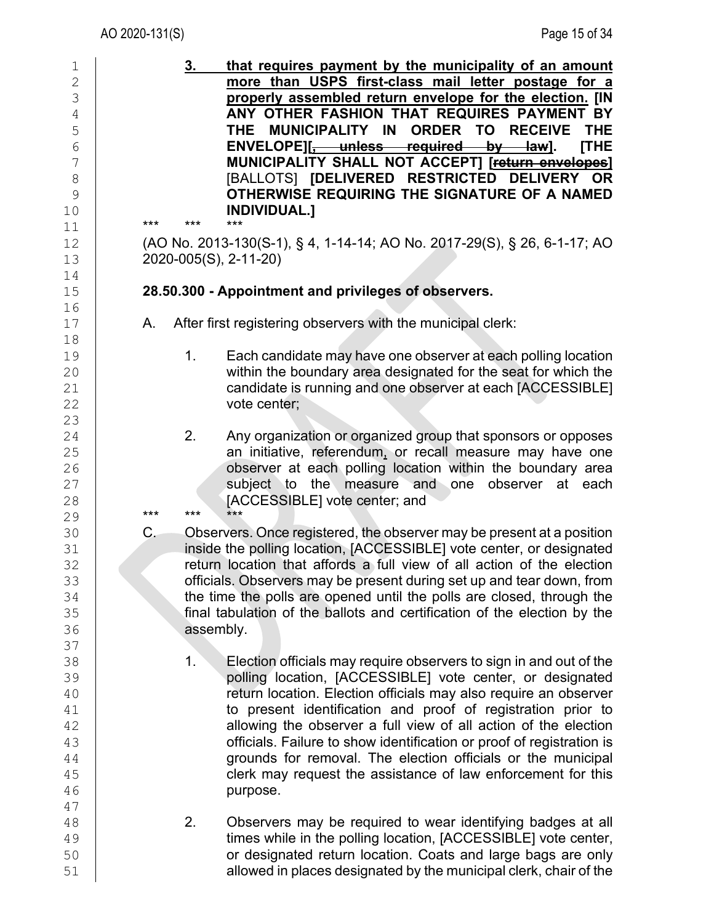| 1              | that requires payment by the municipality of an amount<br><u>3.</u>             |                                  |
|----------------|---------------------------------------------------------------------------------|----------------------------------|
| $\overline{2}$ | more than USPS first-class mail letter postage for a                            |                                  |
| 3              | properly assembled return envelope for the election. [IN                        |                                  |
| $\sqrt{4}$     | ANY OTHER FASHION THAT REQUIRES PAYMENT BY                                      |                                  |
| 5              | MUNICIPALITY IN<br>ORDER TO RECEIVE<br>THE                                      | <b>THE</b>                       |
| $\overline{6}$ | ENVELOPE][, unless required<br>–by—                                             | <b>ITHE</b><br><del>law</del> ]. |
| 7              | MUNICIPALITY SHALL NOT ACCEPT] [return envelopes]                               |                                  |
| 8              | [BALLOTS] [DELIVERED RESTRICTED DELIVERY OR                                     |                                  |
| 9              | OTHERWISE REQUIRING THE SIGNATURE OF A NAMED                                    |                                  |
| 10             | <b>INDIVIDUAL.]</b>                                                             |                                  |
| 11             | $***$<br>***<br>$***$                                                           |                                  |
| 12             | (AO No. 2013-130(S-1), § 4, 1-14-14; AO No. 2017-29(S), § 26, 6-1-17; AO        |                                  |
| 13             | 2020-005(S), 2-11-20)                                                           |                                  |
| 14             |                                                                                 |                                  |
| 15             | 28.50.300 - Appointment and privileges of observers.                            |                                  |
| 16             |                                                                                 |                                  |
| 17             | After first registering observers with the municipal clerk:<br>А.               |                                  |
| 18             |                                                                                 |                                  |
| 19             | Each candidate may have one observer at each polling location<br>1 <sub>1</sub> |                                  |
| 20             | within the boundary area designated for the seat for which the                  |                                  |
| 21             | candidate is running and one observer at each [ACCESSIBLE]                      |                                  |
| 22             | vote center;                                                                    |                                  |
| 23             |                                                                                 |                                  |
| 24             | 2.<br>Any organization or organized group that sponsors or opposes              |                                  |
| 25             | an initiative, referendum, or recall measure may have one                       |                                  |
| 26             | observer at each polling location within the boundary area                      |                                  |
| 27             | subject to the<br>measure and one observer at                                   | each                             |
| 28             | [ACCESSIBLE] vote center; and                                                   |                                  |
| 29             | ***<br>***<br>***                                                               |                                  |
| 30             | C.<br>Observers. Once registered, the observer may be present at a position     |                                  |
| 31             | inside the polling location, [ACCESSIBLE] vote center, or designated            |                                  |
| 32             | return location that affords a full view of all action of the election          |                                  |
| 33             | officials. Observers may be present during set up and tear down, from           |                                  |
| 34             | the time the polls are opened until the polls are closed, through the           |                                  |
| 35             | final tabulation of the ballots and certification of the election by the        |                                  |
| 36             | assembly.                                                                       |                                  |
| 37             |                                                                                 |                                  |
| 38             | 1.<br>Election officials may require observers to sign in and out of the        |                                  |
| 39             | polling location, [ACCESSIBLE] vote center, or designated                       |                                  |
| 40             | return location. Election officials may also require an observer                |                                  |
| 41             | to present identification and proof of registration prior to                    |                                  |
| 42             | allowing the observer a full view of all action of the election                 |                                  |
| 43             | officials. Failure to show identification or proof of registration is           |                                  |
| 44             | grounds for removal. The election officials or the municipal                    |                                  |
| 45             | clerk may request the assistance of law enforcement for this                    |                                  |
| 46             | purpose.                                                                        |                                  |
| 47             |                                                                                 |                                  |
| 48             | 2.<br>Observers may be required to wear identifying badges at all               |                                  |
| 49             | times while in the polling location, [ACCESSIBLE] vote center,                  |                                  |
| 50             | or designated return location. Coats and large bags are only                    |                                  |
| 51             | allowed in places designated by the municipal clerk, chair of the               |                                  |
|                |                                                                                 |                                  |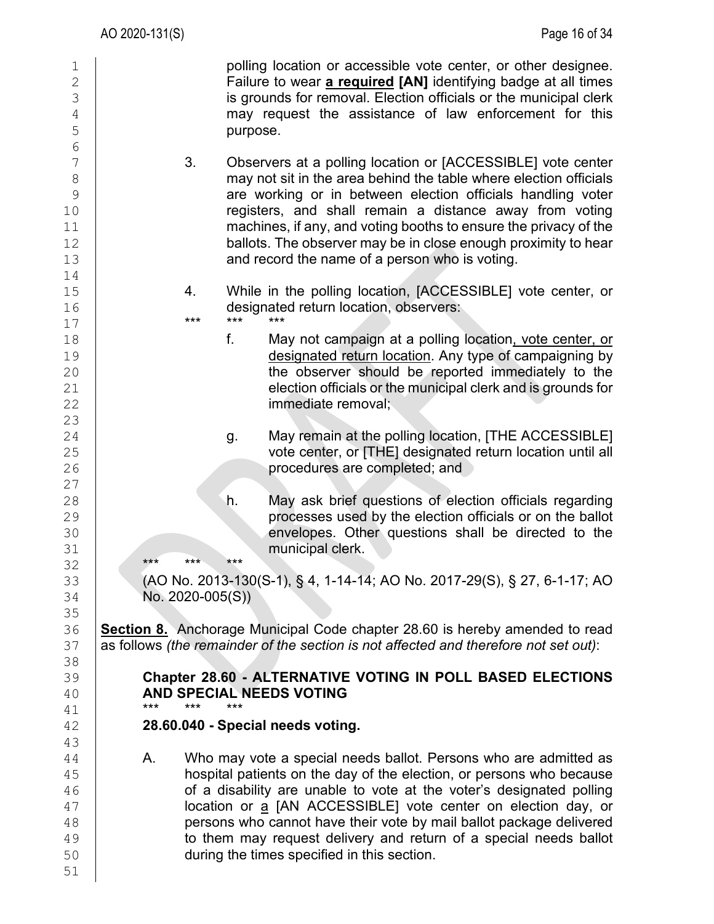| 1<br>$\overline{2}$<br>3<br>$\sqrt{4}$<br>5<br>$\overline{6}$ |                  | polling location or accessible vote center, or other designee.<br>Failure to wear a required [AN] identifying badge at all times<br>is grounds for removal. Election officials or the municipal clerk<br>may request the assistance of law enforcement for this<br>purpose.                                                                                                                                                                                                  |
|---------------------------------------------------------------|------------------|------------------------------------------------------------------------------------------------------------------------------------------------------------------------------------------------------------------------------------------------------------------------------------------------------------------------------------------------------------------------------------------------------------------------------------------------------------------------------|
| 7<br>$\,8\,$<br>9<br>10<br>11<br>12<br>13                     | 3.               | Observers at a polling location or [ACCESSIBLE] vote center<br>may not sit in the area behind the table where election officials<br>are working or in between election officials handling voter<br>registers, and shall remain a distance away from voting<br>machines, if any, and voting booths to ensure the privacy of the<br>ballots. The observer may be in close enough proximity to hear<br>and record the name of a person who is voting.                           |
| 14<br>15<br>16<br>$17$                                        | 4.<br>$***$      | While in the polling location, [ACCESSIBLE] vote center, or<br>designated return location, observers:<br>$***$<br>***                                                                                                                                                                                                                                                                                                                                                        |
| 18<br>19<br>20<br>21<br>22<br>23                              |                  | f.<br>May not campaign at a polling location, vote center, or<br>designated return location. Any type of campaigning by<br>the observer should be reported immediately to the<br>election officials or the municipal clerk and is grounds for<br>immediate removal;                                                                                                                                                                                                          |
| 24<br>25<br>26<br>27                                          |                  | May remain at the polling location, [THE ACCESSIBLE]<br>g.<br>vote center, or [THE] designated return location until all<br>procedures are completed; and                                                                                                                                                                                                                                                                                                                    |
| 28<br>29<br>30<br>31                                          | $***$<br>$***$   | May ask brief questions of election officials regarding<br>h.<br>processes used by the election officials or on the ballot<br>envelopes. Other questions shall be directed to the<br>municipal clerk.<br>$***$                                                                                                                                                                                                                                                               |
| 32<br>33<br>34<br>35                                          | No. 2020-005(S)) | (AO No. 2013-130(S-1), § 4, 1-14-14; AO No. 2017-29(S), § 27, 6-1-17; AO                                                                                                                                                                                                                                                                                                                                                                                                     |
| 36<br>37<br>38                                                |                  | <b>Section 8.</b> Anchorage Municipal Code chapter 28.60 is hereby amended to read<br>as follows (the remainder of the section is not affected and therefore not set out):                                                                                                                                                                                                                                                                                                   |
| 39<br>40<br>41                                                | ***<br>***       | Chapter 28.60 - ALTERNATIVE VOTING IN POLL BASED ELECTIONS<br><b>AND SPECIAL NEEDS VOTING</b><br>***                                                                                                                                                                                                                                                                                                                                                                         |
| 42<br>43                                                      |                  | 28.60.040 - Special needs voting.                                                                                                                                                                                                                                                                                                                                                                                                                                            |
| 44<br>45<br>46<br>47<br>48<br>49<br>50<br>51                  | А.               | Who may vote a special needs ballot. Persons who are admitted as<br>hospital patients on the day of the election, or persons who because<br>of a disability are unable to vote at the voter's designated polling<br>location or a [AN ACCESSIBLE] vote center on election day, or<br>persons who cannot have their vote by mail ballot package delivered<br>to them may request delivery and return of a special needs ballot<br>during the times specified in this section. |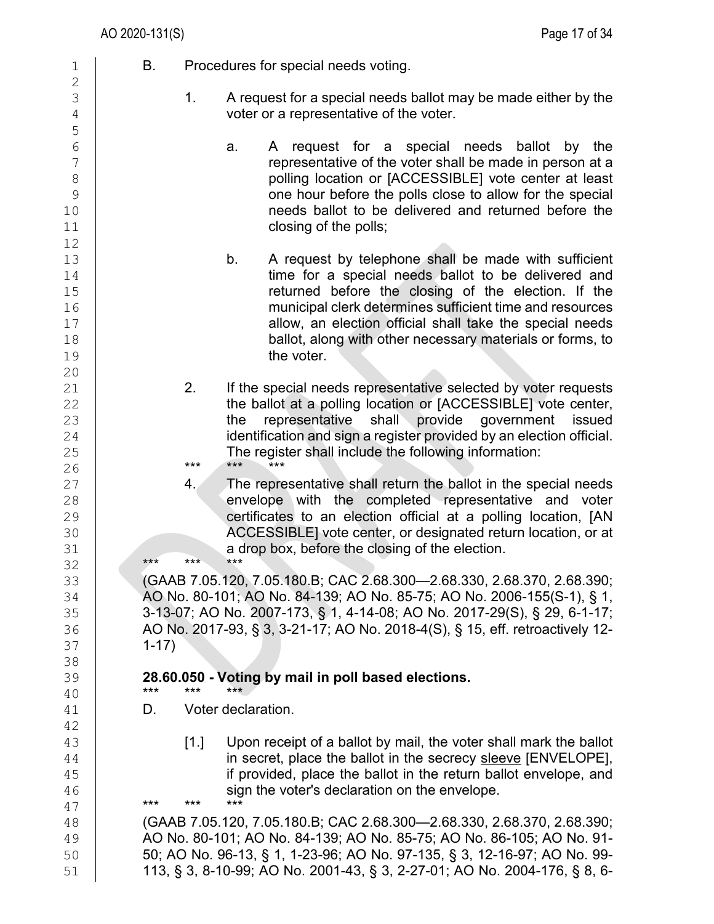| $\mathbf 1$                                                      | В.<br>Procedures for special needs voting.                                                                                                                                                                                                                                                                                                                                  |
|------------------------------------------------------------------|-----------------------------------------------------------------------------------------------------------------------------------------------------------------------------------------------------------------------------------------------------------------------------------------------------------------------------------------------------------------------------|
| $\mathbf 2$<br>3<br>$\overline{4}$                               | 1 <sub>1</sub><br>A request for a special needs ballot may be made either by the<br>voter or a representative of the voter.                                                                                                                                                                                                                                                 |
| 5<br>6<br>$\overline{7}$<br>$\,8\,$<br>$\mathcal{G}$<br>10<br>11 | request for a special needs ballot<br>by the<br>A<br>a.<br>representative of the voter shall be made in person at a<br>polling location or [ACCESSIBLE] vote center at least<br>one hour before the polls close to allow for the special<br>needs ballot to be delivered and returned before the<br>closing of the polls;                                                   |
| 12<br>13<br>14<br>15<br>16<br>17<br>18<br>19                     | b.<br>A request by telephone shall be made with sufficient<br>time for a special needs ballot to be delivered and<br>returned before the closing of the election. If the<br>municipal clerk determines sufficient time and resources<br>allow, an election official shall take the special needs<br>ballot, along with other necessary materials or forms, to<br>the voter. |
| 20<br>21<br>22<br>23<br>24<br>25<br>26                           | 2.<br>If the special needs representative selected by voter requests<br>the ballot at a polling location or [ACCESSIBLE] vote center,<br>representative<br>shall provide government<br>the<br>issued<br>identification and sign a register provided by an election official.<br>The register shall include the following information:<br>$***$<br>***<br>$***$              |
| 27<br>28<br>29<br>30<br>31<br>32                                 | The representative shall return the ballot in the special needs<br>4.<br>envelope with the completed representative and voter<br>certificates to an election official at a polling location, [AN<br>ACCESSIBLE] vote center, or designated return location, or at<br>a drop box, before the closing of the election.<br>***<br>$***$<br>$***$                               |
| 33<br>34<br>35<br>36<br>37                                       | (GAAB 7.05.120, 7.05.180.B; CAC 2.68.300-2.68.330, 2.68.370, 2.68.390;<br>AO No. 80-101; AO No. 84-139; AO No. 85-75; AO No. 2006-155(S-1), § 1,<br>3-13-07; AO No. 2007-173, § 1, 4-14-08; AO No. 2017-29(S), § 29, 6-1-17;<br>AO No. 2017-93, § 3, 3-21-17; AO No. 2018-4(S), § 15, eff. retroactively 12-<br>$1 - 17$                                                    |
| 38<br>39                                                         | 28.60.050 - Voting by mail in poll based elections.<br>***<br>***<br>***                                                                                                                                                                                                                                                                                                    |
| 40<br>41                                                         | Voter declaration.<br>D.                                                                                                                                                                                                                                                                                                                                                    |
| 42<br>43<br>44<br>45<br>46<br>47                                 | Upon receipt of a ballot by mail, the voter shall mark the ballot<br>$[1.]$<br>in secret, place the ballot in the secrecy sleeve [ENVELOPE],<br>if provided, place the ballot in the return ballot envelope, and<br>sign the voter's declaration on the envelope.<br>***<br>$***$<br>***                                                                                    |
| 48<br>49<br>50<br>51                                             | (GAAB 7.05.120, 7.05.180.B; CAC 2.68.300-2.68.330, 2.68.370, 2.68.390;<br>AO No. 80-101; AO No. 84-139; AO No. 85-75; AO No. 86-105; AO No. 91-<br>50; AO No. 96-13, § 1, 1-23-96; AO No. 97-135, § 3, 12-16-97; AO No. 99-<br>113, § 3, 8-10-99; AO No. 2001-43, § 3, 2-27-01; AO No. 2004-176, § 8, 6-                                                                    |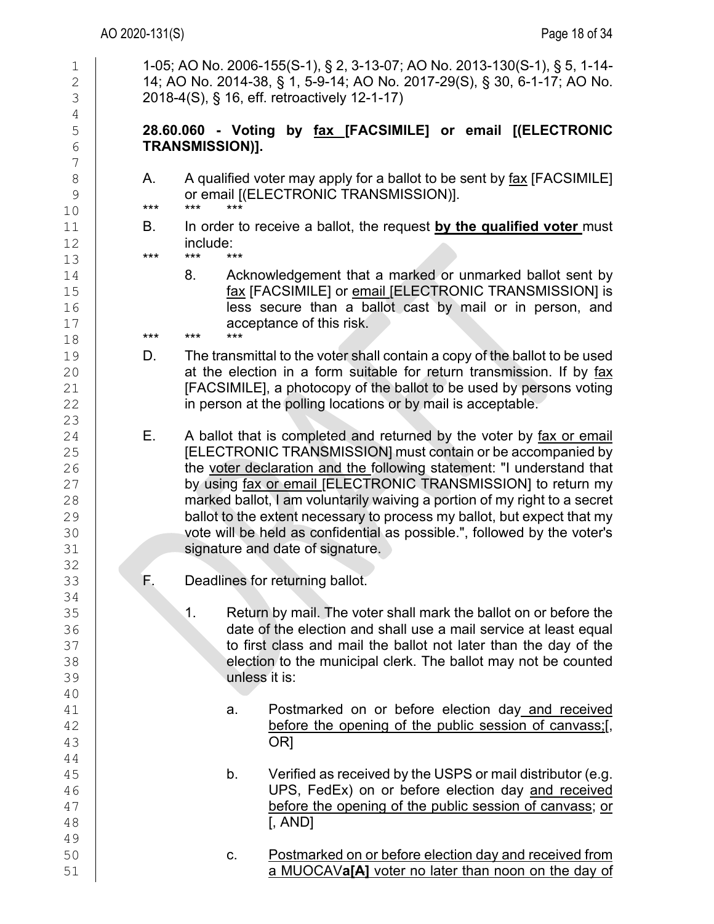| $\mathbf 1$<br>$\overline{c}$                      | 1-05; AO No. 2006-155(S-1), § 2, 3-13-07; AO No. 2013-130(S-1), § 5, 1-14-<br>14; AO No. 2014-38, § 1, 5-9-14; AO No. 2017-29(S), § 30, 6-1-17; AO No.                                                                                                                                                                                                                                                                                                                                                                                                     |
|----------------------------------------------------|------------------------------------------------------------------------------------------------------------------------------------------------------------------------------------------------------------------------------------------------------------------------------------------------------------------------------------------------------------------------------------------------------------------------------------------------------------------------------------------------------------------------------------------------------------|
| 3<br>$\overline{4}$                                | 2018-4(S), § 16, eff. retroactively 12-1-17)                                                                                                                                                                                                                                                                                                                                                                                                                                                                                                               |
| 5<br>$6\,$<br>7                                    | 28.60.060 - Voting by fax [FACSIMILE] or email [(ELECTRONIC<br><b>TRANSMISSION)].</b>                                                                                                                                                                                                                                                                                                                                                                                                                                                                      |
| $\,8\,$<br>9<br>10                                 | A qualified voter may apply for a ballot to be sent by fax [FACSIMILE]<br>А.<br>or email [(ELECTRONIC TRANSMISSION)].<br>$***$<br>$***$<br>$***$                                                                                                                                                                                                                                                                                                                                                                                                           |
| 11<br>12<br>13                                     | In order to receive a ballot, the request by the qualified voter must<br>В.<br>include:<br>***<br>$***$<br>$***$                                                                                                                                                                                                                                                                                                                                                                                                                                           |
| 14<br>15<br>16<br>17<br>18                         | Acknowledgement that a marked or unmarked ballot sent by<br>8.<br>fax [FACSIMILE] or email [ELECTRONIC TRANSMISSION] is<br>less secure than a ballot cast by mail or in person, and<br>acceptance of this risk.<br>***<br>$***$<br>***                                                                                                                                                                                                                                                                                                                     |
| 19<br>20<br>21<br>22<br>23                         | The transmittal to the voter shall contain a copy of the ballot to be used<br>D.<br>at the election in a form suitable for return transmission. If by fax<br>[FACSIMILE], a photocopy of the ballot to be used by persons voting<br>in person at the polling locations or by mail is acceptable.                                                                                                                                                                                                                                                           |
| 24<br>25<br>26<br>27<br>28<br>29<br>30<br>31<br>32 | A ballot that is completed and returned by the voter by fax or email<br>Е.<br>[ELECTRONIC TRANSMISSION] must contain or be accompanied by<br>the voter declaration and the following statement: "I understand that<br>by using fax or email [ELECTRONIC TRANSMISSION] to return my<br>marked ballot, I am voluntarily waiving a portion of my right to a secret<br>ballot to the extent necessary to process my ballot, but expect that my<br>vote will be held as confidential as possible.", followed by the voter's<br>signature and date of signature. |
| 33                                                 | Deadlines for returning ballot.<br>F.                                                                                                                                                                                                                                                                                                                                                                                                                                                                                                                      |
| 34<br>35<br>36<br>37<br>38<br>39                   | 1.<br>Return by mail. The voter shall mark the ballot on or before the<br>date of the election and shall use a mail service at least equal<br>to first class and mail the ballot not later than the day of the<br>election to the municipal clerk. The ballot may not be counted<br>unless it is:                                                                                                                                                                                                                                                          |
| 40<br>41<br>42<br>43                               | Postmarked on or before election day and received<br>a.<br>before the opening of the public session of canvass;[,<br>OR <sub>1</sub>                                                                                                                                                                                                                                                                                                                                                                                                                       |
| 44<br>45<br>46<br>47<br>48<br>49                   | Verified as received by the USPS or mail distributor (e.g.<br>b.<br>UPS, FedEx) on or before election day and received<br>before the opening of the public session of canvass; or<br>$[$ , AND]                                                                                                                                                                                                                                                                                                                                                            |
| 50<br>51                                           | Postmarked on or before election day and received from<br>C.<br>a MUOCAVa[A] voter no later than noon on the day of                                                                                                                                                                                                                                                                                                                                                                                                                                        |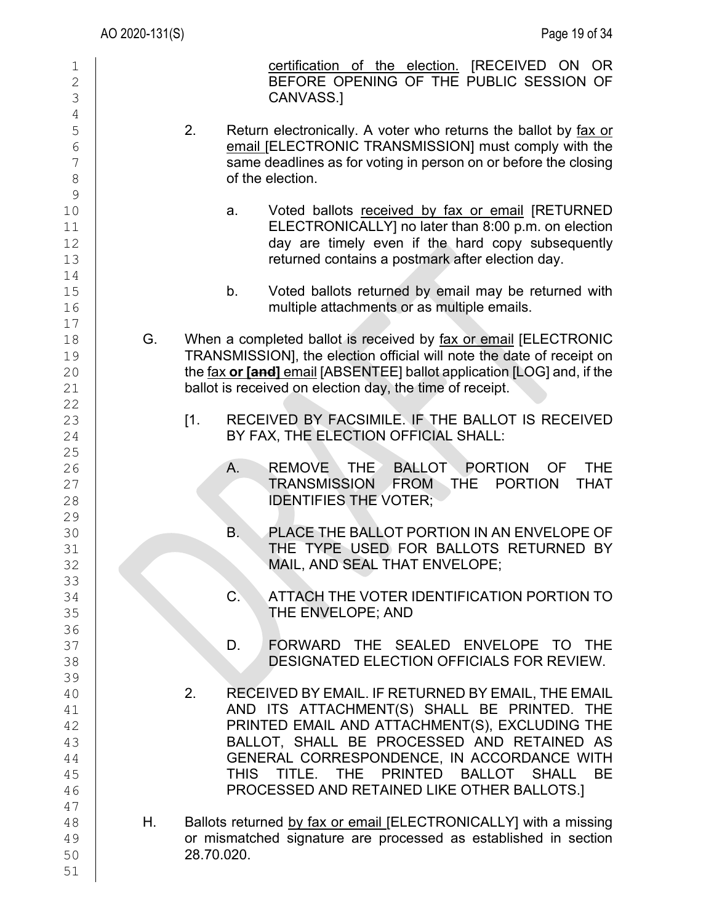|                                                       | AO 2020-131(S) |                   | Page 19 of 34                                                                                                                                                                                                                                                                                                                        |
|-------------------------------------------------------|----------------|-------------------|--------------------------------------------------------------------------------------------------------------------------------------------------------------------------------------------------------------------------------------------------------------------------------------------------------------------------------------|
| 1<br>$\mathbf{2}$<br>3<br>$\sqrt{4}$                  |                |                   | certification of the election. [RECEIVED ON OR<br>BEFORE OPENING OF THE PUBLIC SESSION OF<br>CANVASS.]                                                                                                                                                                                                                               |
| 5<br>$6\phantom{.}6$<br>7<br>$\,8\,$<br>$\mathcal{G}$ | 2.             |                   | Return electronically. A voter who returns the ballot by fax or<br>email [ELECTRONIC TRANSMISSION] must comply with the<br>same deadlines as for voting in person on or before the closing<br>of the election.                                                                                                                       |
| 10<br>11<br>12<br>13                                  |                | a.                | Voted ballots received by fax or email [RETURNED<br>ELECTRONICALLY] no later than 8:00 p.m. on election<br>day are timely even if the hard copy subsequently<br>returned contains a postmark after election day.                                                                                                                     |
| 14<br>15<br>16                                        |                | b.                | Voted ballots returned by email may be returned with<br>multiple attachments or as multiple emails.                                                                                                                                                                                                                                  |
| 17<br>18<br>19<br>20<br>21                            | G.             |                   | When a completed ballot is received by fax or email [ELECTRONIC<br>TRANSMISSION], the election official will note the date of receipt on<br>the fax or [and] email [ABSENTEE] ballot application [LOG] and, if the<br>ballot is received on election day, the time of receipt.                                                       |
| 22<br>23<br>24<br>25                                  |                | $\lceil 1 \rceil$ | RECEIVED BY FACSIMILE. IF THE BALLOT IS RECEIVED<br>BY FAX, THE ELECTION OFFICIAL SHALL:                                                                                                                                                                                                                                             |
| 26<br>27<br>28<br>29                                  |                | A.                | <b>THE</b><br>REMOVE THE BALLOT PORTION<br><b>OF</b><br><b>TRANSMISSION</b><br>FROM THE<br><b>PORTION</b><br><b>THAT</b><br><b>IDENTIFIES THE VOTER;</b>                                                                                                                                                                             |
| 30<br>31<br>32<br>33                                  |                | В.                | PLACE THE BALLOT PORTION IN AN ENVELOPE OF<br>THE TYPE USED FOR BALLOTS RETURNED BY<br>MAIL, AND SEAL THAT ENVELOPE;                                                                                                                                                                                                                 |
| 34<br>35<br>36                                        |                | $\mathsf{C}$ .    | ATTACH THE VOTER IDENTIFICATION PORTION TO<br>THE ENVELOPE; AND                                                                                                                                                                                                                                                                      |
| 37<br>38<br>39                                        |                | D.                | FORWARD THE SEALED ENVELOPE TO THE<br><b>DESIGNATED ELECTION OFFICIALS FOR REVIEW.</b>                                                                                                                                                                                                                                               |
| 40<br>41<br>42<br>43<br>44<br>45<br>46                | 2.             | THIS              | RECEIVED BY EMAIL. IF RETURNED BY EMAIL, THE EMAIL<br>AND ITS ATTACHMENT(S) SHALL BE PRINTED. THE<br>PRINTED EMAIL AND ATTACHMENT(S), EXCLUDING THE<br>BALLOT, SHALL BE PROCESSED AND RETAINED AS<br>GENERAL CORRESPONDENCE, IN ACCORDANCE WITH<br>TITLE. THE PRINTED BALLOT SHALL BE<br>PROCESSED AND RETAINED LIKE OTHER BALLOTS.] |
| 47<br>48<br>49<br>50<br>51                            | Η.             | 28.70.020.        | Ballots returned by fax or email [ELECTRONICALLY] with a missing<br>or mismatched signature are processed as established in section                                                                                                                                                                                                  |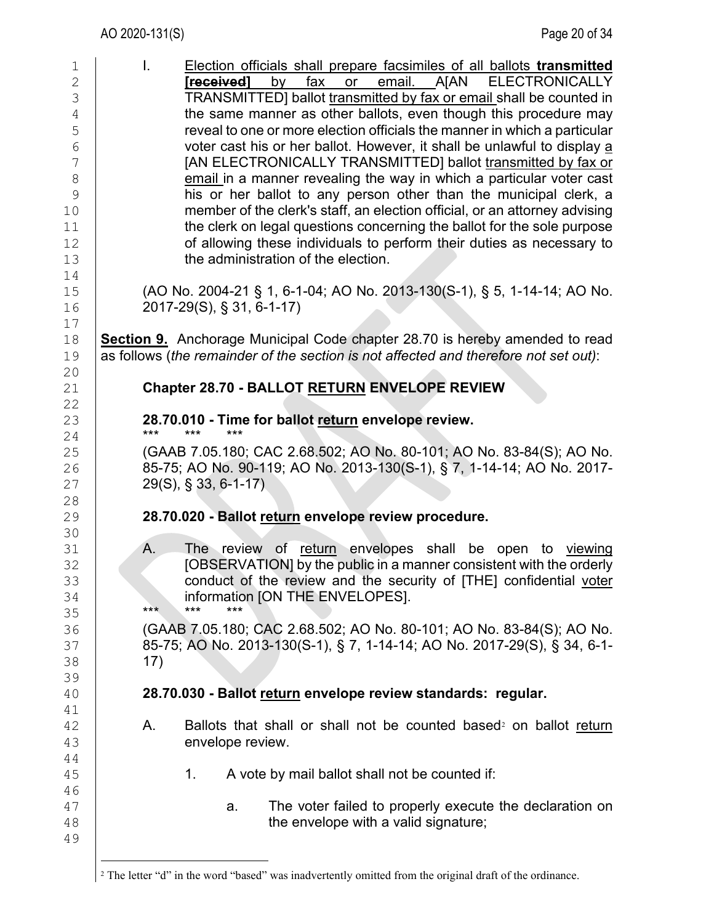<span id="page-19-0"></span>

| $\mathbf 1$<br>$\overline{c}$<br>3<br>$\sqrt{4}$<br>5<br>$\overline{6}$<br>7<br>8<br>9<br>10<br>11<br>12 | I.<br>Election officials shall prepare facsimiles of all ballots transmitted<br>email. A[AN ELECTRONICALLY<br>fax<br>[received]<br>by<br>or<br>TRANSMITTED] ballot transmitted by fax or email shall be counted in<br>the same manner as other ballots, even though this procedure may<br>reveal to one or more election officials the manner in which a particular<br>voter cast his or her ballot. However, it shall be unlawful to display a<br>[AN ELECTRONICALLY TRANSMITTED] ballot transmitted by fax or<br>email in a manner revealing the way in which a particular voter cast<br>his or her ballot to any person other than the municipal clerk, a<br>member of the clerk's staff, an election official, or an attorney advising<br>the clerk on legal questions concerning the ballot for the sole purpose<br>of allowing these individuals to perform their duties as necessary to |
|----------------------------------------------------------------------------------------------------------|------------------------------------------------------------------------------------------------------------------------------------------------------------------------------------------------------------------------------------------------------------------------------------------------------------------------------------------------------------------------------------------------------------------------------------------------------------------------------------------------------------------------------------------------------------------------------------------------------------------------------------------------------------------------------------------------------------------------------------------------------------------------------------------------------------------------------------------------------------------------------------------------|
| 13<br>14                                                                                                 | the administration of the election.                                                                                                                                                                                                                                                                                                                                                                                                                                                                                                                                                                                                                                                                                                                                                                                                                                                            |
| 15<br>16                                                                                                 | (AO No. 2004-21 § 1, 6-1-04; AO No. 2013-130(S-1), § 5, 1-14-14; AO No.<br>2017-29(S), § 31, 6-1-17)                                                                                                                                                                                                                                                                                                                                                                                                                                                                                                                                                                                                                                                                                                                                                                                           |
| 17<br>18<br>19                                                                                           | <b>Section 9.</b> Anchorage Municipal Code chapter 28.70 is hereby amended to read<br>as follows (the remainder of the section is not affected and therefore not set out):                                                                                                                                                                                                                                                                                                                                                                                                                                                                                                                                                                                                                                                                                                                     |
| 20<br>21<br>22                                                                                           | Chapter 28.70 - BALLOT RETURN ENVELOPE REVIEW                                                                                                                                                                                                                                                                                                                                                                                                                                                                                                                                                                                                                                                                                                                                                                                                                                                  |
| 23<br>24                                                                                                 | 28.70.010 - Time for ballot return envelope review.<br>***<br>***                                                                                                                                                                                                                                                                                                                                                                                                                                                                                                                                                                                                                                                                                                                                                                                                                              |
| 25<br>26<br>27                                                                                           | (GAAB 7.05.180; CAC 2.68.502; AO No. 80-101; AO No. 83-84(S); AO No.<br>85-75; AO No. 90-119; AO No. 2013-130(S-1), § 7, 1-14-14; AO No. 2017-<br>$29(S)$ , § 33, 6-1-17)                                                                                                                                                                                                                                                                                                                                                                                                                                                                                                                                                                                                                                                                                                                      |
| 28<br>29                                                                                                 | 28.70.020 - Ballot return envelope review procedure.                                                                                                                                                                                                                                                                                                                                                                                                                                                                                                                                                                                                                                                                                                                                                                                                                                           |
| 30<br>31<br>32<br>33<br>34<br>35<br>36                                                                   | Α.<br>The review of return envelopes shall be open to viewing<br>[OBSERVATION] by the public in a manner consistent with the orderly<br>conduct of the review and the security of [THE] confidential voter<br>information [ON THE ENVELOPES].<br>***<br>***<br>$***$<br>(GAAB 7.05.180; CAC 2.68.502; AO No. 80-101; AO No. 83-84(S); AO No.                                                                                                                                                                                                                                                                                                                                                                                                                                                                                                                                                   |
| 37<br>38<br>39                                                                                           | 85-75; AO No. 2013-130(S-1), § 7, 1-14-14; AO No. 2017-29(S), § 34, 6-1-<br>17)                                                                                                                                                                                                                                                                                                                                                                                                                                                                                                                                                                                                                                                                                                                                                                                                                |
| 40<br>41                                                                                                 | 28.70.030 - Ballot return envelope review standards: regular.                                                                                                                                                                                                                                                                                                                                                                                                                                                                                                                                                                                                                                                                                                                                                                                                                                  |
| 42<br>43<br>44                                                                                           | Ballots that shall or shall not be counted based <sup>2</sup> on ballot return<br>Α.<br>envelope review.                                                                                                                                                                                                                                                                                                                                                                                                                                                                                                                                                                                                                                                                                                                                                                                       |
| 45<br>46                                                                                                 | A vote by mail ballot shall not be counted if:<br>1.                                                                                                                                                                                                                                                                                                                                                                                                                                                                                                                                                                                                                                                                                                                                                                                                                                           |
| 47<br>48<br>49                                                                                           | The voter failed to properly execute the declaration on<br>a.<br>the envelope with a valid signature;                                                                                                                                                                                                                                                                                                                                                                                                                                                                                                                                                                                                                                                                                                                                                                                          |
|                                                                                                          | <sup>2</sup> The letter "d" in the word "based" was inadvertently omitted from the original draft of the ordinance.                                                                                                                                                                                                                                                                                                                                                                                                                                                                                                                                                                                                                                                                                                                                                                            |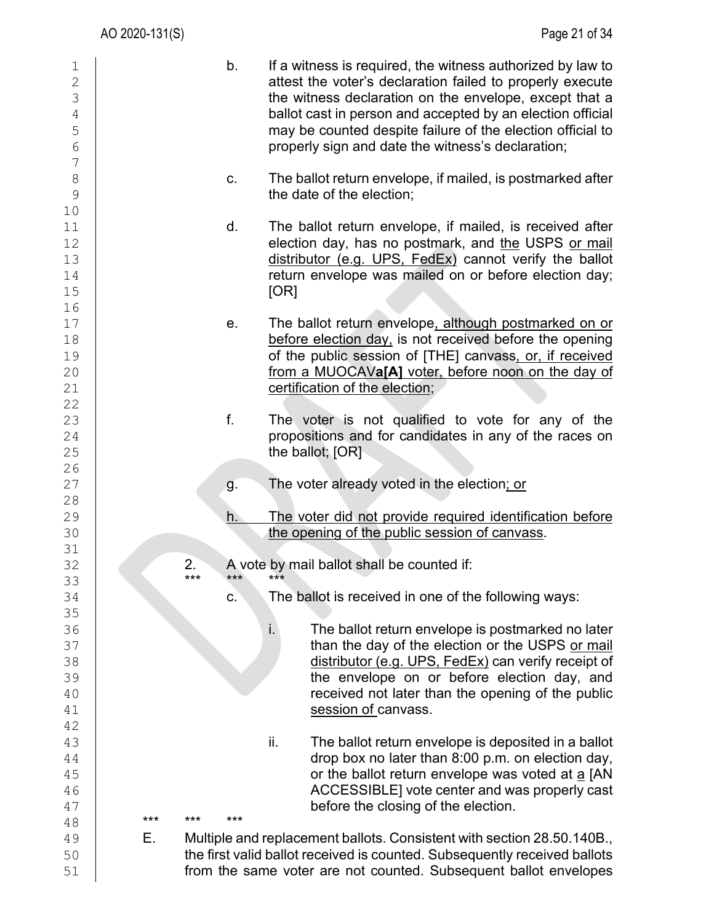| $\mathbf 1$<br>$\overline{2}$<br>3<br>$\sqrt{4}$<br>5<br>$6\,$ |            | b.  | If a witness is required, the witness authorized by law to<br>attest the voter's declaration failed to properly execute<br>the witness declaration on the envelope, except that a<br>ballot cast in person and accepted by an election official<br>may be counted despite failure of the election official to<br>properly sign and date the witness's declaration; |
|----------------------------------------------------------------|------------|-----|--------------------------------------------------------------------------------------------------------------------------------------------------------------------------------------------------------------------------------------------------------------------------------------------------------------------------------------------------------------------|
| $\boldsymbol{7}$<br>$\,8\,$<br>$\mathcal{G}$                   |            | C.  | The ballot return envelope, if mailed, is postmarked after<br>the date of the election;                                                                                                                                                                                                                                                                            |
| 10<br>11<br>12<br>13<br>14<br>15<br>16                         |            | d.  | The ballot return envelope, if mailed, is received after<br>election day, has no postmark, and the USPS or mail<br>distributor (e.g. UPS, FedEx) cannot verify the ballot<br>return envelope was mailed on or before election day;<br>[OR]                                                                                                                         |
| 17<br>18<br>19<br>20<br>21<br>22                               |            | е.  | The ballot return envelope, although postmarked on or<br>before election day, is not received before the opening<br>of the public session of [THE] canvass, or, if received<br>from a MUOCAVa[A] voter, before noon on the day of<br>certification of the election;                                                                                                |
| 23<br>24<br>25                                                 |            | f.  | The voter is not qualified to vote for any of the<br>propositions and for candidates in any of the races on<br>the ballot; $[OR]$                                                                                                                                                                                                                                  |
| 26<br>27                                                       |            | g.  | The voter already voted in the election; or                                                                                                                                                                                                                                                                                                                        |
| 28                                                             |            |     |                                                                                                                                                                                                                                                                                                                                                                    |
| 29<br>30                                                       |            | h.  | The voter did not provide required identification before<br>the opening of the public session of canvass.                                                                                                                                                                                                                                                          |
| 31                                                             | 2.         |     |                                                                                                                                                                                                                                                                                                                                                                    |
| 32<br>33                                                       |            | *** | A vote by mail ballot shall be counted if:                                                                                                                                                                                                                                                                                                                         |
| 34                                                             |            | C.  | The ballot is received in one of the following ways:                                                                                                                                                                                                                                                                                                               |
| 35                                                             |            |     |                                                                                                                                                                                                                                                                                                                                                                    |
| 36                                                             |            |     | i.<br>The ballot return envelope is postmarked no later                                                                                                                                                                                                                                                                                                            |
| 37<br>38                                                       |            |     | than the day of the election or the USPS or mail<br>distributor (e.g. UPS, FedEx) can verify receipt of                                                                                                                                                                                                                                                            |
| 39                                                             |            |     | the envelope on or before election day, and                                                                                                                                                                                                                                                                                                                        |
| 40                                                             |            |     | received not later than the opening of the public                                                                                                                                                                                                                                                                                                                  |
| 41                                                             |            |     | session of canvass.                                                                                                                                                                                                                                                                                                                                                |
| 42                                                             |            |     |                                                                                                                                                                                                                                                                                                                                                                    |
| 43                                                             |            |     | ii.<br>The ballot return envelope is deposited in a ballot                                                                                                                                                                                                                                                                                                         |
| 44                                                             |            |     | drop box no later than 8:00 p.m. on election day,                                                                                                                                                                                                                                                                                                                  |
| 45                                                             |            |     | or the ballot return envelope was voted at a [AN                                                                                                                                                                                                                                                                                                                   |
| 46                                                             |            |     | ACCESSIBLE] vote center and was properly cast                                                                                                                                                                                                                                                                                                                      |
| 47                                                             | ***<br>*** | *** | before the closing of the election.                                                                                                                                                                                                                                                                                                                                |
| 48<br>49                                                       | Е.         |     | Multiple and replacement ballots. Consistent with section 28.50.140B.,                                                                                                                                                                                                                                                                                             |
| 50                                                             |            |     | the first valid ballot received is counted. Subsequently received ballots                                                                                                                                                                                                                                                                                          |
| 51                                                             |            |     | from the same voter are not counted. Subsequent ballot envelopes                                                                                                                                                                                                                                                                                                   |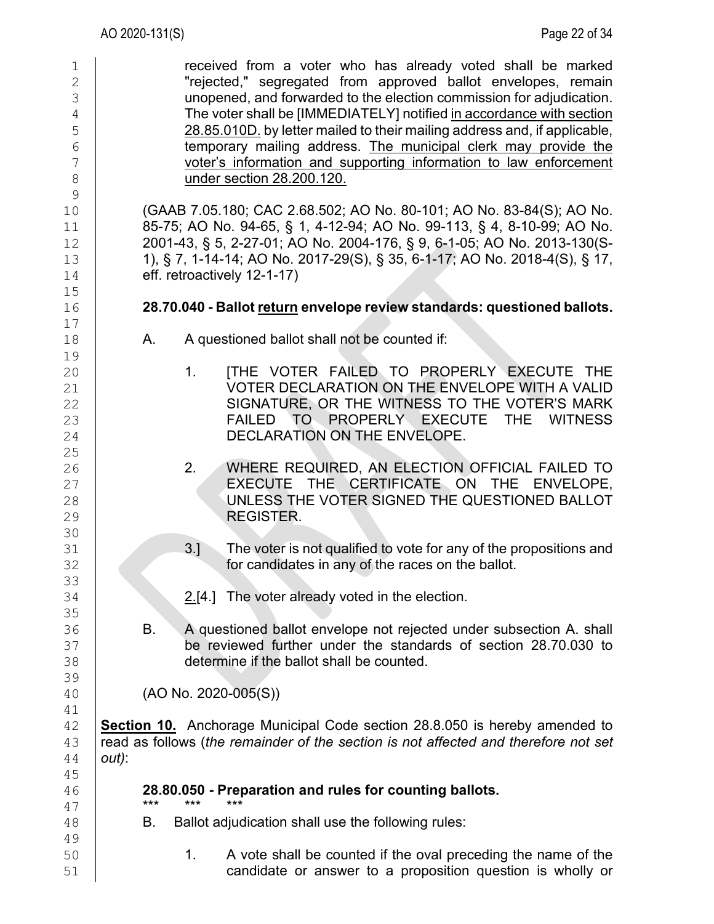| $\mathbf 1$<br>$\mathbf{2}$ | received from a voter who has already voted shall be marked<br>"rejected," segregated from approved ballot envelopes, remain                |  |  |  |  |  |  |
|-----------------------------|---------------------------------------------------------------------------------------------------------------------------------------------|--|--|--|--|--|--|
| 3                           | unopened, and forwarded to the election commission for adjudication.                                                                        |  |  |  |  |  |  |
| $\overline{4}$              | The voter shall be [IMMEDIATELY] notified in accordance with section                                                                        |  |  |  |  |  |  |
| 5<br>6                      | 28.85.010D. by letter mailed to their mailing address and, if applicable,<br>temporary mailing address. The municipal clerk may provide the |  |  |  |  |  |  |
| $\overline{7}$              | voter's information and supporting information to law enforcement                                                                           |  |  |  |  |  |  |
| $\,8\,$                     | under section 28.200.120.                                                                                                                   |  |  |  |  |  |  |
| $\mathcal{G}$               |                                                                                                                                             |  |  |  |  |  |  |
| 10                          | (GAAB 7.05.180; CAC 2.68.502; AO No. 80-101; AO No. 83-84(S); AO No.                                                                        |  |  |  |  |  |  |
| 11                          | 85-75; AO No. 94-65, § 1, 4-12-94; AO No. 99-113, § 4, 8-10-99; AO No.                                                                      |  |  |  |  |  |  |
| 12                          | 2001-43, § 5, 2-27-01; AO No. 2004-176, § 9, 6-1-05; AO No. 2013-130(S-                                                                     |  |  |  |  |  |  |
| 13                          | 1), § 7, 1-14-14; AO No. 2017-29(S), § 35, 6-1-17; AO No. 2018-4(S), § 17,                                                                  |  |  |  |  |  |  |
| 14                          | eff. retroactively 12-1-17)                                                                                                                 |  |  |  |  |  |  |
| 15<br>16                    | 28.70.040 - Ballot return envelope review standards: questioned ballots.                                                                    |  |  |  |  |  |  |
| 17<br>18                    | A questioned ballot shall not be counted if:<br>А.                                                                                          |  |  |  |  |  |  |
| 19                          |                                                                                                                                             |  |  |  |  |  |  |
| 20                          | <b>ITHE VOTER FAILED TO PROPERLY EXECUTE THE</b><br>$1_{\cdot}$                                                                             |  |  |  |  |  |  |
| 21                          | VOTER DECLARATION ON THE ENVELOPE WITH A VALID                                                                                              |  |  |  |  |  |  |
| 22                          | SIGNATURE, OR THE WITNESS TO THE VOTER'S MARK                                                                                               |  |  |  |  |  |  |
| 23                          | FAILED TO PROPERLY EXECUTE THE<br><b>WITNESS</b>                                                                                            |  |  |  |  |  |  |
| 24                          | DECLARATION ON THE ENVELOPE.                                                                                                                |  |  |  |  |  |  |
| 25<br>26                    | WHERE REQUIRED, AN ELECTION OFFICIAL FAILED TO<br>2.                                                                                        |  |  |  |  |  |  |
| 27                          | EXECUTE THE CERTIFICATE ON THE ENVELOPE,                                                                                                    |  |  |  |  |  |  |
| 28                          | UNLESS THE VOTER SIGNED THE QUESTIONED BALLOT                                                                                               |  |  |  |  |  |  |
| 29                          | <b>REGISTER.</b>                                                                                                                            |  |  |  |  |  |  |
| 30                          |                                                                                                                                             |  |  |  |  |  |  |
| 31                          | The voter is not qualified to vote for any of the propositions and<br>$3.$ ]                                                                |  |  |  |  |  |  |
| 32                          | for candidates in any of the races on the ballot.                                                                                           |  |  |  |  |  |  |
| 33<br>34                    | $2.[4.]$ The voter already voted in the election.                                                                                           |  |  |  |  |  |  |
| 35                          |                                                                                                                                             |  |  |  |  |  |  |
| 36                          | Β.<br>A questioned ballot envelope not rejected under subsection A. shall                                                                   |  |  |  |  |  |  |
| 37                          | be reviewed further under the standards of section 28.70.030 to                                                                             |  |  |  |  |  |  |
| 38                          | determine if the ballot shall be counted.                                                                                                   |  |  |  |  |  |  |
| 39                          |                                                                                                                                             |  |  |  |  |  |  |
| 40                          | $(AO No. 2020-005(S))$                                                                                                                      |  |  |  |  |  |  |
| 41                          | <b>Section 10.</b> Anchorage Municipal Code section 28.8.050 is hereby amended to                                                           |  |  |  |  |  |  |
| 42<br>43                    | read as follows (the remainder of the section is not affected and therefore not set                                                         |  |  |  |  |  |  |
| 44                          | out):                                                                                                                                       |  |  |  |  |  |  |
| 45                          |                                                                                                                                             |  |  |  |  |  |  |
| 46                          | 28.80.050 - Preparation and rules for counting ballots.                                                                                     |  |  |  |  |  |  |
| 47                          | ***<br>***                                                                                                                                  |  |  |  |  |  |  |
| 48<br>49                    | Ballot adjudication shall use the following rules:<br>В.                                                                                    |  |  |  |  |  |  |
| 50                          | 1 <sub>1</sub><br>A vote shall be counted if the oval preceding the name of the                                                             |  |  |  |  |  |  |
| 51                          | candidate or answer to a proposition question is wholly or                                                                                  |  |  |  |  |  |  |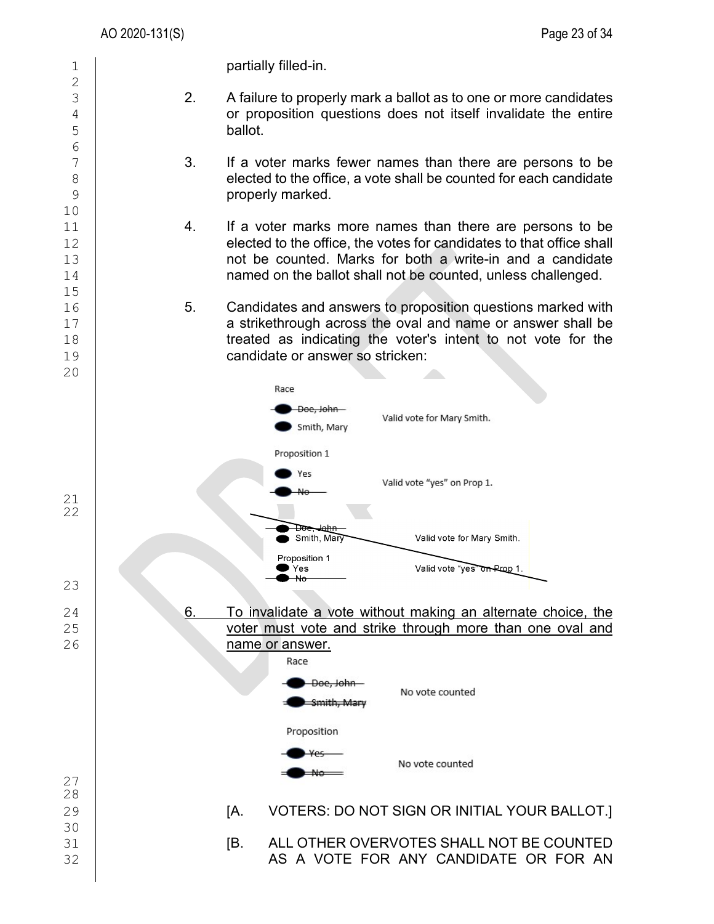$\frac{2}{3}$ 

6<br>7

10

15<br>16

1 **partially filled-in.** 

- $\begin{array}{c|c} 3 & 2. & A failure to properly mark a ball of as to one or more candidates or proposition questions does not itself invalidate the entire$  $\begin{array}{c|c} 4 & 6 \end{array}$  or proposition questions does not itself invalidate the entire ballot. ballot.
- $\begin{array}{c|c} 7 \\ 8 \end{array}$  3. If a voter marks fewer names than there are persons to be elected to the office. a vote shall be counted for each candidate  $\begin{array}{c|c}\n 8 \\
 9\n \end{array}$  elected to the office, a vote shall be counted for each candidate original properly marked. properly marked.
- $\begin{array}{c|c} 11 & 4. & \text{If a voter marks more names than there are persons to be } 12 & \text{elected to the office. The votes for candidates to that office shall} \end{array}$ 12 elected to the office, the votes for candidates to that office shall<br>13 hot be counted. Marks for both a write-in and a candidate 13 **13** not be counted. Marks for both a write-in and a candidate next asset all marked. The ballot shall not be counted. unless challenged. named on the ballot shall not be counted, unless challenged.
- 16 5. Candidates and answers to proposition questions marked with  $\begin{array}{c|c} 17 & \text{ } & \text{ } \text{a} \text{ strictly} \end{array}$  a strikethrough across the oval and name or answer shall be  $\begin{array}{c|c} 18 & \text{ } & \text{ } \text{the} \end{array}$ 18 treated as indicating the voter's intent to not vote for the<br>19 candidate or answer so stricken: candidate or answer so stricken:

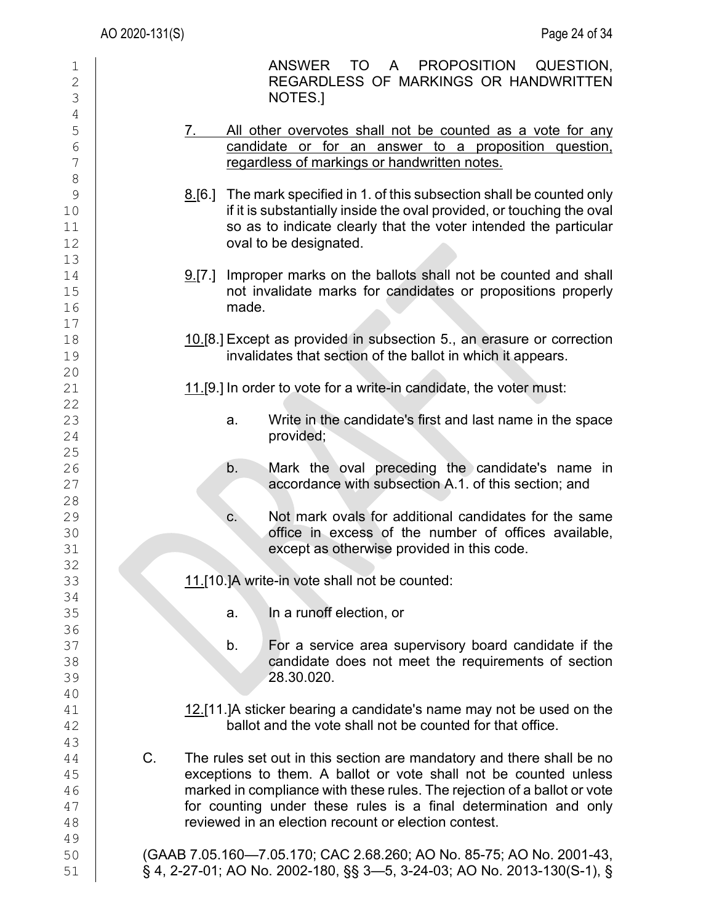| $\mathbf 1$<br>$\overline{2}$<br>3 | ANSWER TO A PROPOSITION<br>QUESTION,<br>REGARDLESS OF MARKINGS OR HANDWRITTEN<br>NOTES.                                                                                                                                                                                                                                                                 |
|------------------------------------|---------------------------------------------------------------------------------------------------------------------------------------------------------------------------------------------------------------------------------------------------------------------------------------------------------------------------------------------------------|
| $\overline{4}$<br>5<br>6<br>7      | All other overvotes shall not be counted as a vote for any<br>7.<br>candidate or for an answer to a proposition question,<br>regardless of markings or handwritten notes.                                                                                                                                                                               |
| 8<br>9<br>10<br>11<br>12<br>13     | 8.[6.] The mark specified in 1. of this subsection shall be counted only<br>if it is substantially inside the oval provided, or touching the oval<br>so as to indicate clearly that the voter intended the particular<br>oval to be designated.                                                                                                         |
| 14<br>15<br>16<br>17               | Improper marks on the ballots shall not be counted and shall<br>9.7.<br>not invalidate marks for candidates or propositions properly<br>made.                                                                                                                                                                                                           |
| 18<br>19<br>20                     | 10.[8.] Except as provided in subsection 5., an erasure or correction<br>invalidates that section of the ballot in which it appears.                                                                                                                                                                                                                    |
| 21<br>22                           | 11.[9.] In order to vote for a write-in candidate, the voter must:                                                                                                                                                                                                                                                                                      |
| 23<br>24<br>25                     | Write in the candidate's first and last name in the space<br>a.<br>provided;                                                                                                                                                                                                                                                                            |
| 26<br>27                           | b.<br>Mark the oval preceding the candidate's name in<br>accordance with subsection A.1. of this section; and                                                                                                                                                                                                                                           |
| 28<br>29<br>30<br>31<br>32         | Not mark ovals for additional candidates for the same<br>C.<br>office in excess of the number of offices available,<br>except as otherwise provided in this code.                                                                                                                                                                                       |
| 33<br>34                           | 11.[10.]A write-in vote shall not be counted:                                                                                                                                                                                                                                                                                                           |
| 35<br>36                           | In a runoff election, or<br>a.                                                                                                                                                                                                                                                                                                                          |
| 37<br>38<br>39<br>40               | b.<br>For a service area supervisory board candidate if the<br>candidate does not meet the requirements of section<br>28.30.020.                                                                                                                                                                                                                        |
| 41<br>42<br>43                     | 12.[11.] A sticker bearing a candidate's name may not be used on the<br>ballot and the vote shall not be counted for that office.                                                                                                                                                                                                                       |
| 44<br>45<br>46<br>47<br>48         | C.<br>The rules set out in this section are mandatory and there shall be no<br>exceptions to them. A ballot or vote shall not be counted unless<br>marked in compliance with these rules. The rejection of a ballot or vote<br>for counting under these rules is a final determination and only<br>reviewed in an election recount or election contest. |
| 49<br>50<br>51                     | (GAAB 7.05.160-7.05.170; CAC 2.68.260; AO No. 85-75; AO No. 2001-43,<br>§ 4, 2-27-01; AO No. 2002-180, §§ 3-5, 3-24-03; AO No. 2013-130(S-1), §                                                                                                                                                                                                         |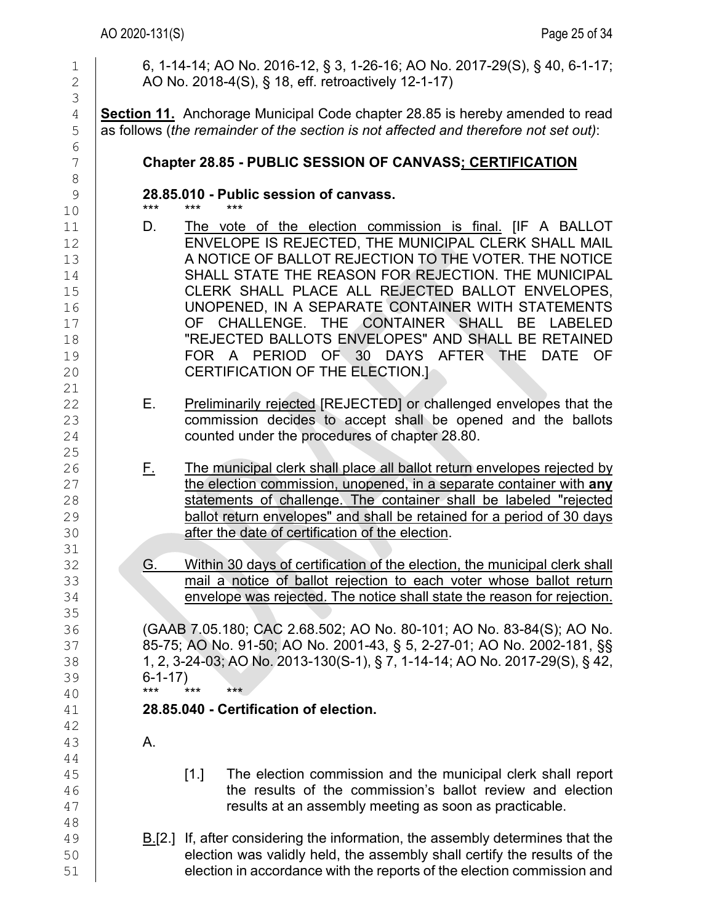| 1<br>$\overline{2}$                                      | 6, 1-14-14; AO No. 2016-12, § 3, 1-26-16; AO No. 2017-29(S), § 40, 6-1-17;<br>AO No. 2018-4(S), § 18, eff. retroactively 12-1-17)                                                                                                                                                                                                                                                                                                                                                                                                             |
|----------------------------------------------------------|-----------------------------------------------------------------------------------------------------------------------------------------------------------------------------------------------------------------------------------------------------------------------------------------------------------------------------------------------------------------------------------------------------------------------------------------------------------------------------------------------------------------------------------------------|
| 3<br>$\sqrt{4}$<br>5                                     | <b>Section 11.</b> Anchorage Municipal Code chapter 28.85 is hereby amended to read<br>as follows (the remainder of the section is not affected and therefore not set out):                                                                                                                                                                                                                                                                                                                                                                   |
| 6<br>7<br>8                                              | Chapter 28.85 - PUBLIC SESSION OF CANVASS; CERTIFICATION                                                                                                                                                                                                                                                                                                                                                                                                                                                                                      |
| $\mathcal{G}$<br>10                                      | 28.85.010 - Public session of canvass.<br>***<br>***<br>***                                                                                                                                                                                                                                                                                                                                                                                                                                                                                   |
| 11<br>12<br>13<br>14<br>15<br>16<br>17<br>18<br>19<br>20 | The vote of the election commission is final. [IF A BALLOT<br>D.<br>ENVELOPE IS REJECTED, THE MUNICIPAL CLERK SHALL MAIL<br>A NOTICE OF BALLOT REJECTION TO THE VOTER. THE NOTICE<br>SHALL STATE THE REASON FOR REJECTION. THE MUNICIPAL<br>CLERK SHALL PLACE ALL REJECTED BALLOT ENVELOPES,<br>UNOPENED, IN A SEPARATE CONTAINER WITH STATEMENTS<br>OF CHALLENGE. THE CONTAINER SHALL<br>BE LABELED<br>"REJECTED BALLOTS ENVELOPES" AND SHALL BE RETAINED<br>FOR A PERIOD OF 30 DAYS AFTER THE<br>DATE OF<br>CERTIFICATION OF THE ELECTION.] |
| 21<br>22<br>23<br>24<br>25                               | Preliminarily rejected [REJECTED] or challenged envelopes that the<br>Е.<br>commission decides to accept shall be opened and the ballots<br>counted under the procedures of chapter 28.80.                                                                                                                                                                                                                                                                                                                                                    |
| 26<br>27<br>28<br>29<br>30<br>31                         | The municipal clerk shall place all ballot return envelopes rejected by<br><u>E.</u><br>the election commission, unopened, in a separate container with any<br>statements of challenge. The container shall be labeled "rejected<br>ballot return envelopes" and shall be retained for a period of 30 days<br>after the date of certification of the election.                                                                                                                                                                                |
| 32<br>33<br>34<br>35                                     | Within 30 days of certification of the election, the municipal clerk shall<br>G.<br>mail a notice of ballot rejection to each voter whose ballot return<br>envelope was rejected. The notice shall state the reason for rejection.                                                                                                                                                                                                                                                                                                            |
| 36<br>37<br>38<br>39<br>40                               | (GAAB 7.05.180; CAC 2.68.502; AO No. 80-101; AO No. 83-84(S); AO No.<br>85-75; AO No. 91-50; AO No. 2001-43, § 5, 2-27-01; AO No. 2002-181, §§<br>1, 2, 3-24-03; AO No. 2013-130(S-1), § 7, 1-14-14; AO No. 2017-29(S), § 42,<br>$6 - 1 - 17$<br>$***$<br>***<br>$***$                                                                                                                                                                                                                                                                        |
| 41<br>42                                                 | 28.85.040 - Certification of election.                                                                                                                                                                                                                                                                                                                                                                                                                                                                                                        |
| 43<br>44                                                 | Α.                                                                                                                                                                                                                                                                                                                                                                                                                                                                                                                                            |
| 45<br>46<br>47<br>48                                     | The election commission and the municipal clerk shall report<br>$\lceil 1 \rceil$<br>the results of the commission's ballot review and election<br>results at an assembly meeting as soon as practicable.                                                                                                                                                                                                                                                                                                                                     |
| 49<br>50<br>51                                           | $B1[2.]$ If, after considering the information, the assembly determines that the<br>election was validly held, the assembly shall certify the results of the<br>election in accordance with the reports of the election commission and                                                                                                                                                                                                                                                                                                        |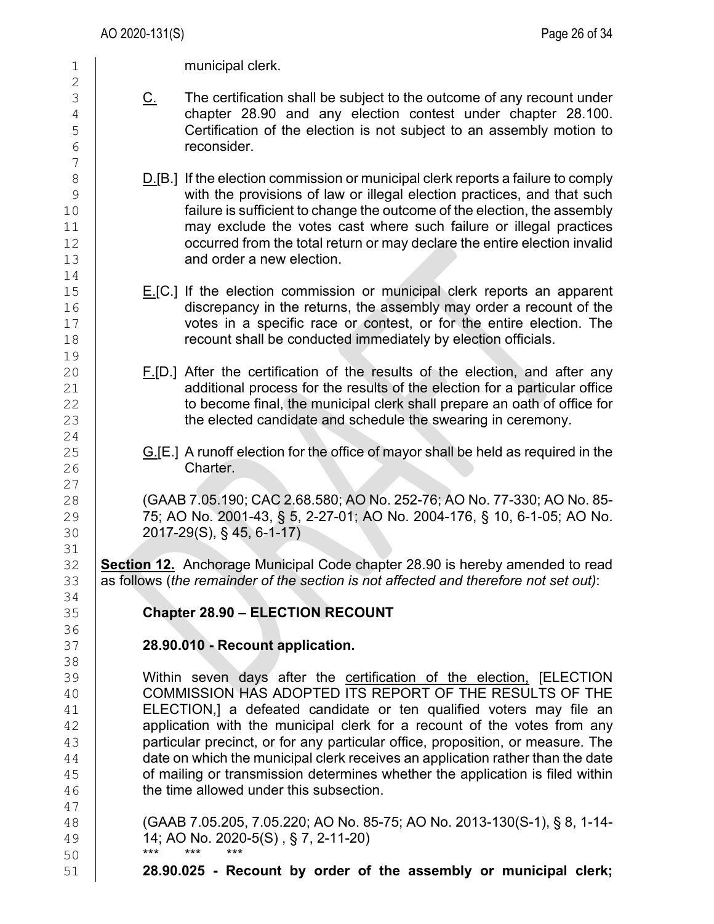1 | municipal clerk.

- C. The certification shall be subject to the outcome of any recount under 4 chapter 28.90 and any election contest under chapter 28.100.<br>5 Certification of the election is not subiect to an assembly motion to 5 Certification of the election is not subject to an assembly motion to reconsider. reconsider.
- 8  $\underline{\text{D}}$ .[B.] If the election commission or municipal clerk reports a failure to comply<br>9 with the provisions of law or illegal election practices, and that such 9 with the provisions of law or illegal election practices, and that such<br>failure is sufficient to change the outcome of the election, the assembly failure is sufficient to change the outcome of the election, the assembly  $\begin{array}{c|c} 11 & \hspace{15pt} & \hspace{15pt} & \hspace{15pt} & \hspace{15pt} & \hspace{15pt} & \hspace{15pt} & \hspace{15pt} & \hspace{15pt} & \hspace{15pt} & \hspace{15pt} & \hspace{15pt} & \hspace{15pt} & \hspace{15pt} & \hspace{15pt} & \hspace{15pt} & \hspace{15pt} & \hspace{15pt} & \hspace{15pt} & \hspace{15pt} & \hspace{15pt} & \hspace{15pt} & \hspace{15pt} & \hspace{15pt} &$ 12 occurred from the total return or may declare the entire election invalid<br>13 **Audio Contract America** and order a new election and order a new election
- 15 E.[C.] If the election commission or municipal clerk reports an apparent 16 discrepancy in the returns, the assembly may order a recount of the<br>17 **buy of the street of the contest** or for the entire election. The  $\begin{array}{c|c} 17 & \text{votes in a specific race or contest, or for the entire election.} \end{array}$  The recount shall be conducted immediately by election officials. recount shall be conducted immediately by election officials.
- F.[D.] After the certification of the results of the election, and after any 21 additional process for the results of the election for a particular office<br>22 to become final, the municipal clerk shall prepare an oath of office for  $22 \begin{matrix} \end{matrix}$  to become final, the municipal clerk shall prepare an oath of office for  $23 \begin{matrix} \end{matrix}$ the elected candidate and schedule the swearing in ceremony.
- 25 G.[E.] A runoff election for the office of mayor shall be held as required in the  $\frac{1}{26}$  Charter. Charter.

28 (GAAB 7.05.190; CAC 2.68.580; AO No. 252-76; AO No. 77-330; AO No. 85- 29 75; AO No. 2001-43, § 5, 2-27-01; AO No. 2004-176, § 10, 6-1-05; AO No. 30 2017-29(S), § 45, 6-1-17)

32 **Section 12.** Anchorage Municipal Code chapter 28.90 is hereby amended to read<br>33 as follows (the remainder of the section is not affected and therefore not set out): as follows (*the remainder of the section is not affected and therefore not set out*):

## 35 **Chapter 28.90 – ELECTION RECOUNT**

## 37 **28.90.010 - Recount application.**

39 Within seven days after the certification of the election, [ELECTION 40 COMMISSION HAS ADOPTED ITS REPORT OF THE RESULTS OF THE 41 COMMISSION HAS ADOPTED ITS REPORT OF THE RESULTS OF THE  $\begin{array}{c|c} 41 & \text{ELECTION,} \end{array}$  a defeated candidate or ten qualified voters may file an  $\begin{array}{c|c} 42 & \text{a} \end{array}$ application with the municipal clerk for a recount of the votes from any 43 **extending in Ann Exercise Starts provides** proposition, or measure. The  $\frac{44}{45}$  date on which the municipal clerk receives an application rather than the date<br>45 of mailing or transmission determines whether the application is filed within 45 of mailing or transmission determines whether the application is filed within<br>46 **helion of the time allowed under this subsection**. the time allowed under this subsection.

48 (GAAB 7.05.205, 7.05.220; AO No. 85-75; AO No. 2013-130(S-1), § 8, 1-14- 49 **14; AO No. 2020-5(S)**, § 7, 2-11-20)

50 \*\*\* \*\*\* \*\*\* 51 **28.90.025 - Recount by order of the assembly or municipal clerk;**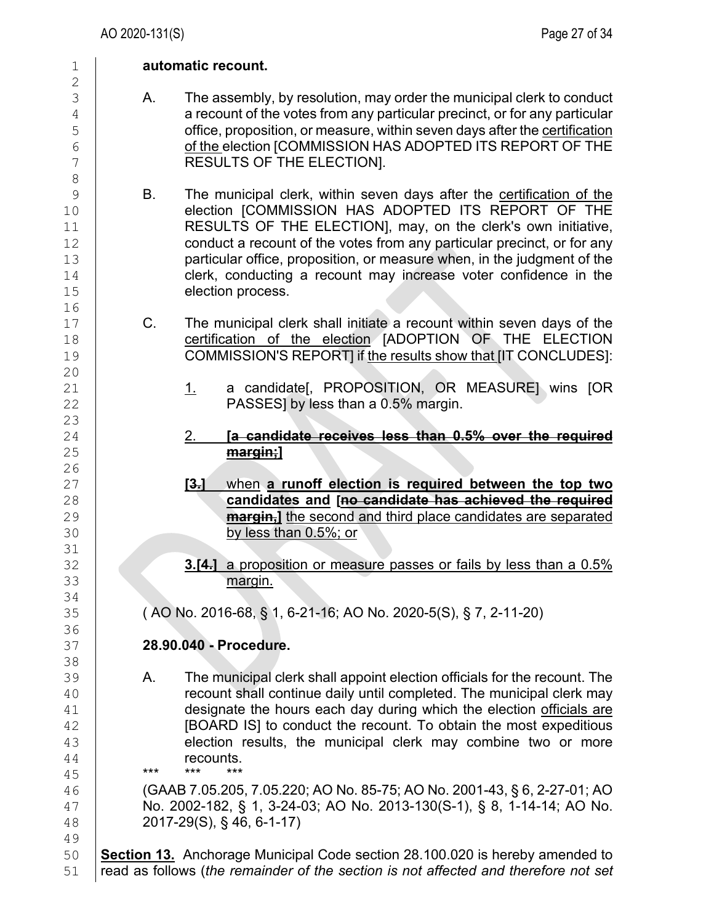$\frac{2}{3}$ 8 16<br>17 20 23<br>24 26 31<br>32 34<br>35 36<br>37 38 44 **recounts.**<br>45 **\*\*\*** \*\*\* \*\*\* 45 \*\*\* \*\*\* \*\*\* 49<br>50

#### 1 **automatic recount.**

- A. The assembly, by resolution, may order the municipal clerk to conduct  $\frac{4}{5}$  a recount of the votes from any particular precinct, or for any particular<br>5 5 office, proposition, or measure, within seven days after the <u>certification</u><br>6 of the election [COMMISSION HAS ADOPTED ITS REPORT OF THE  $\frac{6}{7}$  of the election [COMMISSION HAS ADOPTED ITS REPORT OF THE  $\frac{7}{7}$ RESULTS OF THE ELECTION].
- 9 B. The municipal clerk, within seven days after the certification of the<br>10 **B. COMMISSION HAS ADOPTED ITS REPORT OF THE** 10 election [COMMISSION HAS ADOPTED ITS REPORT OF THE 11 RESULTS OF THE ELECTION], may, on the clerk's own initiative,<br>12 conduct a recount of the votes from any particular precinct, or for any 12 conduct a recount of the votes from any particular precinct, or for any<br>13 **conduct a recount of the proposition** or measure when, in the iudament of the 13 particular office, proposition, or measure when, in the judgment of the 14 feature clerk, conducting a recount may increase voter confidence in the 14 clerk, conducting a recount may increase voter confidence in the lection process. election process.
- 17 C. The municipal clerk shall initiate a recount within seven days of the<br>18 **C.** Certification of the election (ADOPTION OF THE ELECTION 18 certification of the election [ADOPTION OF THE ELECTION<br>19 COMMISSION'S REPORTI if the results show that IIT CONCLUDESI: 19 COMMISSION'S REPORT] if the results show that [IT CONCLUDES]:
- 21  $\vert$  21  $\vert$  a candidate[, PROPOSITION, OR MEASURE] wins [OR <br>22 PASSESI by less than a 0.5% margin. PASSES] by less than a 0.5% margin.
- 24 2. **[a candidate receives less than 0.5% over the required**  margin;]
- 27 **[3.]** when **a runoff election is required between the top two**  28 **candidates and [no candidate has achieved the required 29 candidates and [no candidate has achieved the required 29 candidates are separated** 29 **margin,]** the second and third place candidates are separated by less than 0.5%; or by less than 0.5%; or
- 32 **3.[4.]** a proposition or measure passes or fails by less than a 0.5% margin. margin.

35 ( AO No. 2016-68, § 1, 6-21-16; AO No. 2020-5(S), § 7, 2-11-20)

# 37 **28.90.040 - Procedure.**

39 A. The municipal clerk shall appoint election officials for the recount. The<br>40 **A. The municipal continue daily until completed. The municipal clerk may** 40 **recount shall continue daily until completed. The municipal clerk may**<br>41 **designate the hours each day during which the election officials are** 41 designate the hours each day during which the election officials are<br>42 **IBOARD ISI** to conduct the recount. To obtain the most expeditious 42 [BOARD IS] to conduct the recount. To obtain the most expeditious<br>43 **Example 1** election results, the municipal clerk may combine two or more 43 election results, the municipal clerk may combine two or more<br>44 ecounts.

46 (GAAB 7.05.205, 7.05.220; AO No. 85-75; AO No. 2001-43, § 6, 2-27-01; AO 47 **No. 2002-182, § 1, 3-24-03; AO No. 2013-130(S-1), § 8, 1-14-14; AO No.** 48 **2017-29(S), § 46, 6-1-17**) 48 2017-29(S), § 46, 6-1-17)

**Section 13.** Anchorage Municipal Code section 28.100.020 is hereby amended to 51 read as follows (*the remainder of the section is not affected and therefore not set*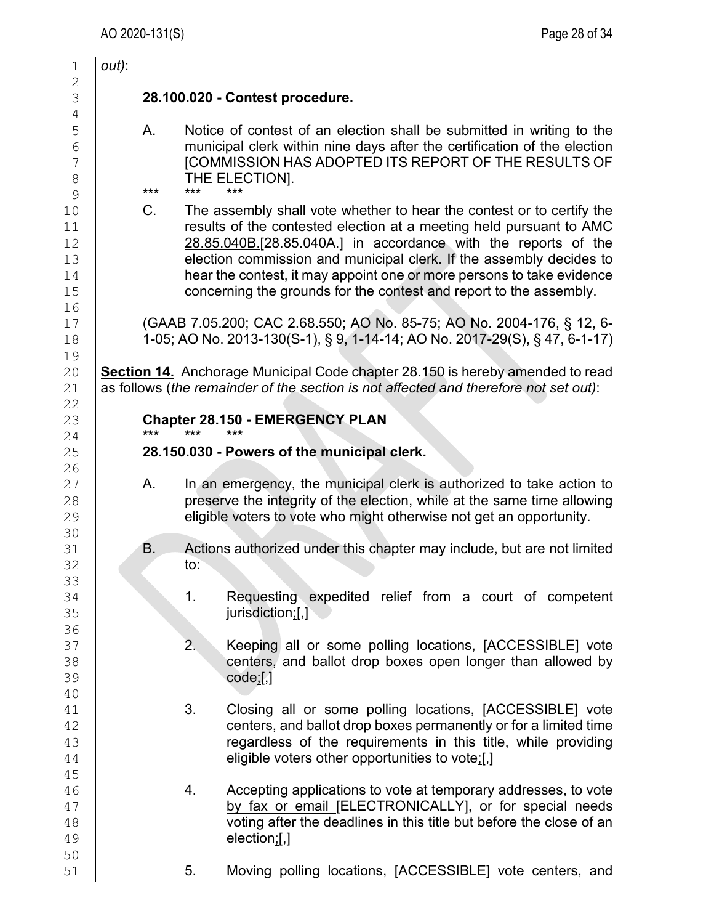| 1                                                       | $out)$ :                                        |                                                                                                                                                                                                                                                                                                                                                                                                                                      |
|---------------------------------------------------------|-------------------------------------------------|--------------------------------------------------------------------------------------------------------------------------------------------------------------------------------------------------------------------------------------------------------------------------------------------------------------------------------------------------------------------------------------------------------------------------------------|
| $\overline{c}$<br>$\mathfrak S$<br>$\overline{4}$       | 28.100.020 - Contest procedure.                 |                                                                                                                                                                                                                                                                                                                                                                                                                                      |
| 5<br>6<br>$\overline{7}$<br>$\,8\,$                     | А.<br>THE ELECTION].<br>$***$<br>$***$<br>$***$ | Notice of contest of an election shall be submitted in writing to the<br>municipal clerk within nine days after the certification of the election<br><b>[COMMISSION HAS ADOPTED ITS REPORT OF THE RESULTS OF</b>                                                                                                                                                                                                                     |
| $\mathcal{G}$<br>10<br>11<br>12<br>13<br>14<br>15<br>16 | C.                                              | The assembly shall vote whether to hear the contest or to certify the<br>results of the contested election at a meeting held pursuant to AMC<br>28.85.040B.[28.85.040A.] in accordance with the reports of the<br>election commission and municipal clerk. If the assembly decides to<br>hear the contest, it may appoint one or more persons to take evidence<br>concerning the grounds for the contest and report to the assembly. |
| 17<br>18<br>19                                          |                                                 | (GAAB 7.05.200; CAC 2.68.550; AO No. 85-75; AO No. 2004-176, § 12, 6-<br>1-05; AO No. 2013-130(S-1), § 9, 1-14-14; AO No. 2017-29(S), § 47, 6-1-17)                                                                                                                                                                                                                                                                                  |
| 20<br>21<br>22                                          |                                                 | <b>Section 14.</b> Anchorage Municipal Code chapter 28.150 is hereby amended to read<br>as follows (the remainder of the section is not affected and therefore not set out):                                                                                                                                                                                                                                                         |
| 23                                                      |                                                 | <b>Chapter 28.150 - EMERGENCY PLAN</b>                                                                                                                                                                                                                                                                                                                                                                                               |
| 24<br>25<br>26                                          | ***<br>***<br>***                               | 28.150.030 - Powers of the municipal clerk.                                                                                                                                                                                                                                                                                                                                                                                          |
| 27<br>28<br>29                                          | Α.                                              | In an emergency, the municipal clerk is authorized to take action to<br>preserve the integrity of the election, while at the same time allowing<br>eligible voters to vote who might otherwise not get an opportunity.                                                                                                                                                                                                               |
| 30<br>31<br>32                                          | B.<br>to:                                       | Actions authorized under this chapter may include, but are not limited                                                                                                                                                                                                                                                                                                                                                               |
| 33<br>34<br>35                                          | 1.                                              | Requesting expedited relief from a court of competent<br>jurisdiction;[,]                                                                                                                                                                                                                                                                                                                                                            |
| 36<br>37<br>38<br>39<br>40                              | 2.<br>code;[,]                                  | Keeping all or some polling locations, [ACCESSIBLE] vote<br>centers, and ballot drop boxes open longer than allowed by                                                                                                                                                                                                                                                                                                               |
| 41<br>42<br>43<br>44                                    | 3.                                              | Closing all or some polling locations, [ACCESSIBLE] vote<br>centers, and ballot drop boxes permanently or for a limited time<br>regardless of the requirements in this title, while providing<br>eligible voters other opportunities to vote;[,]                                                                                                                                                                                     |
| 45<br>46<br>47<br>48<br>49                              | 4.                                              | Accepting applications to vote at temporary addresses, to vote<br>by fax or email [ELECTRONICALLY], or for special needs<br>voting after the deadlines in this title but before the close of an<br>$election$ ;[,]                                                                                                                                                                                                                   |
| 50<br>51                                                | 5.                                              | Moving polling locations, [ACCESSIBLE] vote centers, and                                                                                                                                                                                                                                                                                                                                                                             |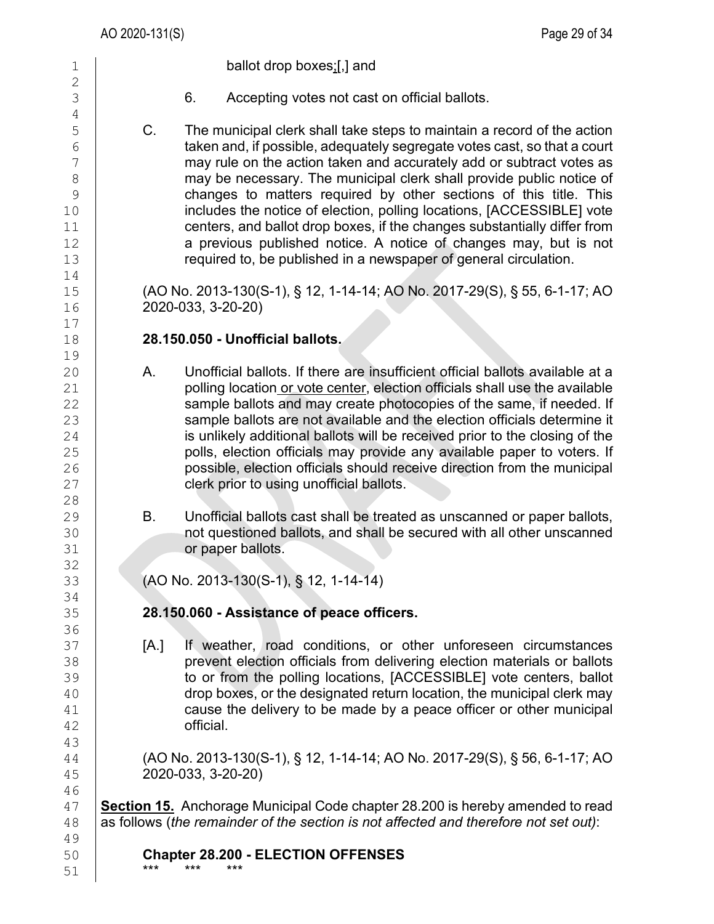51 \*\*\* \*\*\* \*\*\*

1 ballot drop boxes;[,] and  $\frac{2}{3}$ 6. Accepting votes not cast on official ballots. 4<br>5 5 C. The municipal clerk shall take steps to maintain a record of the action<br>6 taken and, if possible, adequately segregate votes cast, so that a court  $\begin{array}{c|c}\n6 & \text{taken and, if possible, adequately segregate votes cast, so that a court} \\
7 & \text{max rule on the action taken and accurately add or subtract votes as}\n\end{array}$ 7 may rule on the action taken and accurately add or subtract votes as<br>8 may be necessary. The municipal clerk shall provide public notice of 8 may be necessary. The municipal clerk shall provide public notice of example rections of this title. This shall provide public notice of  $\frac{9}{100}$ 9 changes to matters required by other sections of this title. This<br>includes the notice of election, polling locations, [ACCESSIBLE] vote includes the notice of election, polling locations, [ACCESSIBLE] vote 11 centers, and ballot drop boxes, if the changes substantially differ from<br>12 **a** previous published notice. A notice of changes may, but is not 12 **a previous published notice. A notice of changes may, but is not** 13 required to, be published in a newspaper of general circulation.  $\begin{array}{c} 14 \\ 15 \end{array}$ 15 (AO No. 2013-130(S-1), § 12, 1-14-14; AO No. 2017-29(S), § 55, 6-1-17; AO  $16$  2020-033, 3-20-20) 16 2020-033, 3-20-20)  $\begin{array}{c} 17 \\ 18 \end{array}$ 18 **28.150.050 - Unofficial ballots.**  19<br>20 20 A. Unofficial ballots. If there are insufficient official ballots available at a<br>21 **A. Septime location or vote center, election officials shall use the available** 21 polling location or vote center, election officials shall use the available<br>22 sample ballots and may create photocopies of the same, if needed. If 22 sample ballots and may create photocopies of the same, if needed. If<br>23 sample ballots are not available and the election officials determine it 23 sample ballots are not available and the election officials determine it<br>24 signified v additional ballots will be received prior to the closing of the 24 is unlikely additional ballots will be received prior to the closing of the<br>25 **incolly ballot** polls, election officials may provide any available paper to voters. If 25 polls, election officials may provide any available paper to voters. If  $\overline{26}$  possible, election officials should receive direction from the municipal possible, election officials should receive direction from the municipal 27 **clerk prior to using unofficial ballots.** 28<br>29 29 B. Unofficial ballots cast shall be treated as unscanned or paper ballots,<br>30 **B. An Extra post paints on the secure** with all other unscanned 30 not questioned ballots, and shall be secured with all other unscanned<br>31 or paper ballots. or paper ballots. 32<br>33 33 (AO No. 2013-130(S-1), § 12, 1-14-14) 34<br>35 35 **28.150.060 - Assistance of peace officers.**  36<br>37 37 [A.] If weather, road conditions, or other unforeseen circumstances<br>38 **[20]** prevent election officials from delivering election materials or ballots prevent election officials from delivering election materials or ballots 39 to or from the polling locations, [ACCESSIBLE] vote centers, ballot<br>40 drop boxes, or the designated return location, the municipal clerk may 40 drop boxes, or the designated return location, the municipal clerk may<br>41 cause the delivery to be made by a peace officer or other municipal  $\begin{array}{c|c} 41 & \text{cause the delivery to be made by a peace officer or other municipal} \\ 42 & \text{official.} \end{array}$ official. 43 44 (AO No. 2013-130(S-1), § 12, 1-14-14; AO No. 2017-29(S), § 56, 6-1-17; AO<br>45 2020-033, 3-20-20) 45 2020-033, 3-20-20) 46 47 **Section 15.** Anchorage Municipal Code chapter 28.200 is hereby amended to read<br>48 as follows (*the remainder of the section is not affected and therefore not set out*): 48 as follows (*the remainder of the section is not affected and therefore not set out)*: 49<br>50 50 **Chapter 28.200 - ELECTION OFFENSES**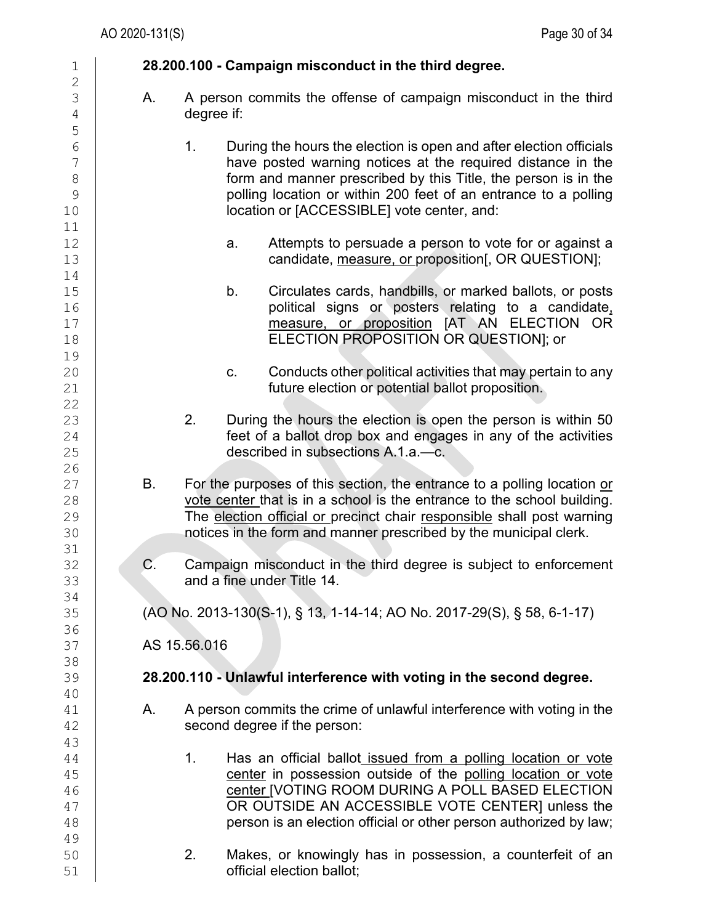| 1                   |           |                |    | 28.200.100 - Campaign misconduct in the third degree.                   |
|---------------------|-----------|----------------|----|-------------------------------------------------------------------------|
| $\overline{c}$<br>3 | Α.        |                |    | A person commits the offense of campaign misconduct in the third        |
| $\overline{4}$      |           | degree if:     |    |                                                                         |
| 5                   |           |                |    |                                                                         |
| $\sqrt{6}$          |           | 1 <sub>1</sub> |    | During the hours the election is open and after election officials      |
| 7                   |           |                |    | have posted warning notices at the required distance in the             |
| $\,8\,$             |           |                |    | form and manner prescribed by this Title, the person is in the          |
| $\mathsf 9$         |           |                |    | polling location or within 200 feet of an entrance to a polling         |
| 10                  |           |                |    | location or [ACCESSIBLE] vote center, and:                              |
| 11<br>12            |           |                | a. | Attempts to persuade a person to vote for or against a                  |
| 13                  |           |                |    | candidate, measure, or proposition[, OR QUESTION];                      |
| 14                  |           |                |    |                                                                         |
| 15                  |           |                | b. | Circulates cards, handbills, or marked ballots, or posts                |
| 16                  |           |                |    | political signs or posters relating to a candidate,                     |
| 17                  |           |                |    | measure, or proposition [AT AN ELECTION OR                              |
| 18                  |           |                |    | ELECTION PROPOSITION OR QUESTION]; or                                   |
| 19                  |           |                |    |                                                                         |
| 20                  |           |                | C. | Conducts other political activities that may pertain to any             |
| 21                  |           |                |    | future election or potential ballot proposition.                        |
| 22                  |           |                |    |                                                                         |
| 23                  |           | 2.             |    | During the hours the election is open the person is within 50           |
| 24                  |           |                |    | feet of a ballot drop box and engages in any of the activities          |
| 25                  |           |                |    | described in subsections A.1.a.-c.                                      |
| 26<br>27            | <b>B.</b> |                |    | For the purposes of this section, the entrance to a polling location or |
| 28                  |           |                |    | vote center that is in a school is the entrance to the school building. |
| 29                  |           |                |    | The election official or precinct chair responsible shall post warning  |
| 30                  |           |                |    | notices in the form and manner prescribed by the municipal clerk.       |
| 31                  |           |                |    |                                                                         |
| 32                  | C.        |                |    | Campaign misconduct in the third degree is subject to enforcement       |
| 33                  |           |                |    | and a fine under Title 14.                                              |
| 34                  |           |                |    |                                                                         |
| 35                  |           |                |    | (AO No. 2013-130(S-1), § 13, 1-14-14; AO No. 2017-29(S), § 58, 6-1-17)  |
| 36                  |           |                |    |                                                                         |
| 37                  |           | AS 15.56.016   |    |                                                                         |
| 38<br>39            |           |                |    | 28.200.110 - Unlawful interference with voting in the second degree.    |
| 40                  |           |                |    |                                                                         |
| 41                  | Α.        |                |    | A person commits the crime of unlawful interference with voting in the  |
| 42                  |           |                |    | second degree if the person:                                            |
| 43                  |           |                |    |                                                                         |
| 44                  |           | 1.             |    | Has an official ballot issued from a polling location or vote           |
| 45                  |           |                |    | center in possession outside of the polling location or vote            |
| 46                  |           |                |    | center [VOTING ROOM DURING A POLL BASED ELECTION                        |
| 47                  |           |                |    | OR OUTSIDE AN ACCESSIBLE VOTE CENTER] unless the                        |
| 48                  |           |                |    | person is an election official or other person authorized by law;       |
| 49                  |           |                |    |                                                                         |
| 50                  |           | 2.             |    | Makes, or knowingly has in possession, a counterfeit of an              |
| 51                  |           |                |    | official election ballot;                                               |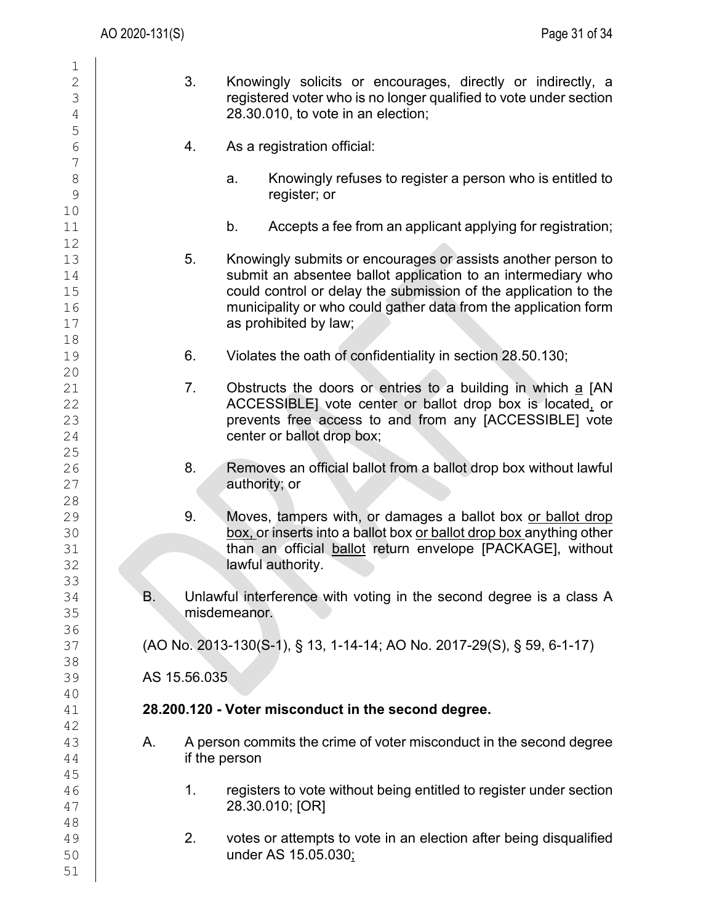| 1                                                                          |                                                                                                                                                                                                                                                                                                   |  |
|----------------------------------------------------------------------------|---------------------------------------------------------------------------------------------------------------------------------------------------------------------------------------------------------------------------------------------------------------------------------------------------|--|
| $\overline{2}$<br>3<br>$\overline{4}$                                      | 3.<br>Knowingly solicits or encourages, directly or indirectly, a<br>registered voter who is no longer qualified to vote under section<br>28.30.010, to vote in an election;                                                                                                                      |  |
| 5<br>$\sqrt{6}$                                                            | 4.<br>As a registration official:                                                                                                                                                                                                                                                                 |  |
| $\overline{7}$<br>$\delta$<br>9                                            | Knowingly refuses to register a person who is entitled to<br>a.<br>register; or                                                                                                                                                                                                                   |  |
| 10<br>11                                                                   | b.<br>Accepts a fee from an applicant applying for registration;                                                                                                                                                                                                                                  |  |
| 12<br>13<br>14<br>15<br>16<br>17                                           | 5.<br>Knowingly submits or encourages or assists another person to<br>submit an absentee ballot application to an intermediary who<br>could control or delay the submission of the application to the<br>municipality or who could gather data from the application form<br>as prohibited by law; |  |
| 18<br>19                                                                   | 6.<br>Violates the oath of confidentiality in section 28.50.130;                                                                                                                                                                                                                                  |  |
| 20<br>21<br>22<br>23<br>24<br>25<br>26<br>27<br>28<br>29<br>30<br>31<br>32 | 7.<br>Obstructs the doors or entries to a building in which a [AN<br>ACCESSIBLE] vote center or ballot drop box is located, or<br>prevents free access to and from any [ACCESSIBLE] vote<br>center or ballot drop box;                                                                            |  |
|                                                                            | 8.<br>Removes an official ballot from a ballot drop box without lawful<br>authority; or                                                                                                                                                                                                           |  |
|                                                                            | 9.<br>Moves, tampers with, or damages a ballot box or ballot drop<br>box, or inserts into a ballot box or ballot drop box anything other<br>than an official ballot return envelope [PACKAGE], without<br>lawful authority.                                                                       |  |
| 33<br>34<br>35                                                             | Unlawful interference with voting in the second degree is a class A<br>В.<br>misdemeanor.                                                                                                                                                                                                         |  |
| 36<br>37<br>38                                                             | (AO No. 2013-130(S-1), § 13, 1-14-14; AO No. 2017-29(S), § 59, 6-1-17)                                                                                                                                                                                                                            |  |
| 39<br>40                                                                   | AS 15.56.035                                                                                                                                                                                                                                                                                      |  |
| 41<br>42                                                                   | 28.200.120 - Voter misconduct in the second degree.                                                                                                                                                                                                                                               |  |
| 43<br>44<br>45<br>46<br>47<br>48<br>49<br>50<br>51                         | A person commits the crime of voter misconduct in the second degree<br>Α.<br>if the person                                                                                                                                                                                                        |  |
|                                                                            | registers to vote without being entitled to register under section<br>1.<br>28.30.010; [OR]                                                                                                                                                                                                       |  |
|                                                                            | 2.<br>votes or attempts to vote in an election after being disqualified<br>under AS 15.05.030;                                                                                                                                                                                                    |  |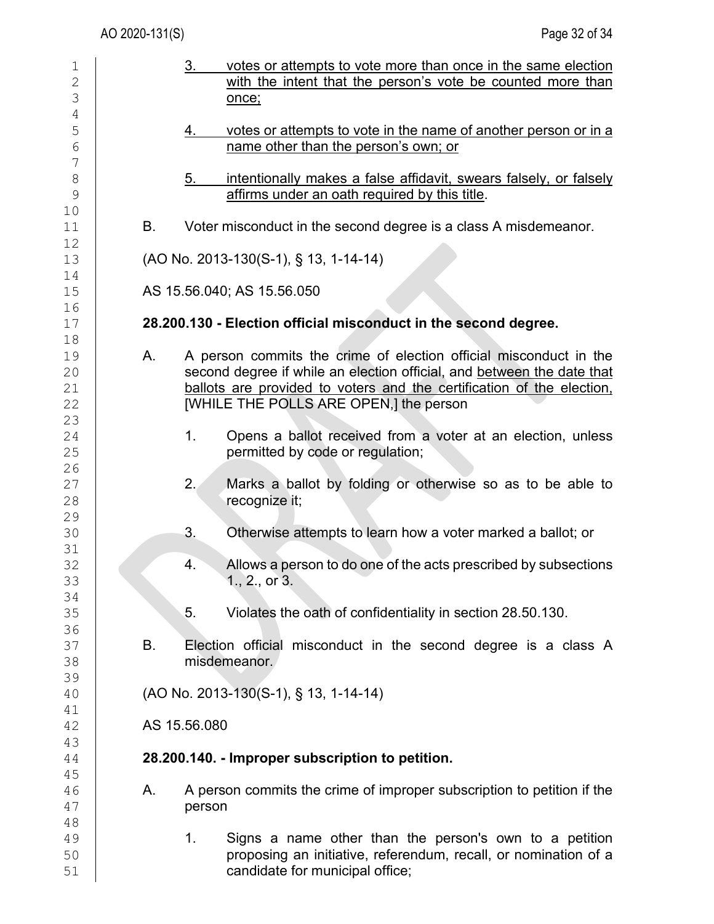| 1<br>$\overline{2}$<br>3         |    | 3.<br>votes or attempts to vote more than once in the same election<br>with the intent that the person's vote be counted more than<br>once;                                                                                                                    |
|----------------------------------|----|----------------------------------------------------------------------------------------------------------------------------------------------------------------------------------------------------------------------------------------------------------------|
| $\sqrt{4}$<br>5<br>6<br>7        |    | votes or attempts to vote in the name of another person or in a<br>4.<br>name other than the person's own; or                                                                                                                                                  |
| 8<br>$\mathcal{G}$<br>10         |    | 5.<br>intentionally makes a false affidavit, swears falsely, or falsely<br>affirms under an oath required by this title.                                                                                                                                       |
| 11<br>12                         | В. | Voter misconduct in the second degree is a class A misdemeanor.                                                                                                                                                                                                |
| 13<br>14                         |    | (AO No. 2013-130(S-1), § 13, 1-14-14)                                                                                                                                                                                                                          |
| 15                               |    | AS 15.56.040; AS 15.56.050                                                                                                                                                                                                                                     |
| 16<br>17                         |    | 28.200.130 - Election official misconduct in the second degree.                                                                                                                                                                                                |
| 18<br>19<br>20<br>21<br>22<br>23 | А. | A person commits the crime of election official misconduct in the<br>second degree if while an election official, and between the date that<br>ballots are provided to voters and the certification of the election,<br>[WHILE THE POLLS ARE OPEN,] the person |
| 24<br>25<br>26                   |    | 1.<br>Opens a ballot received from a voter at an election, unless<br>permitted by code or regulation;                                                                                                                                                          |
| 27<br>28<br>29                   |    | 2.<br>Marks a ballot by folding or otherwise so as to be able to<br>recognize it;                                                                                                                                                                              |
| 30<br>31                         |    | 3.<br>Otherwise attempts to learn how a voter marked a ballot; or                                                                                                                                                                                              |
| 32<br>33<br>34                   |    | 4.<br>Allows a person to do one of the acts prescribed by subsections<br>1., 2., or 3.                                                                                                                                                                         |
| 35<br>36                         |    | 5.<br>Violates the oath of confidentiality in section 28.50.130.                                                                                                                                                                                               |
| 37<br>38<br>39                   | В. | Election official misconduct in the second degree is a class A<br>misdemeanor.                                                                                                                                                                                 |
| 40                               |    | $(AO No. 2013-130(S-1), S 13, 1-14-14)$                                                                                                                                                                                                                        |
| 41<br>42                         |    | AS 15.56.080                                                                                                                                                                                                                                                   |
| 43<br>44                         |    | 28.200.140. - Improper subscription to petition.                                                                                                                                                                                                               |
| 45<br>46<br>47                   | Α. | A person commits the crime of improper subscription to petition if the<br>person                                                                                                                                                                               |
| 48<br>49<br>50<br>51             |    | 1.<br>Signs a name other than the person's own to a petition<br>proposing an initiative, referendum, recall, or nomination of a<br>candidate for municipal office;                                                                                             |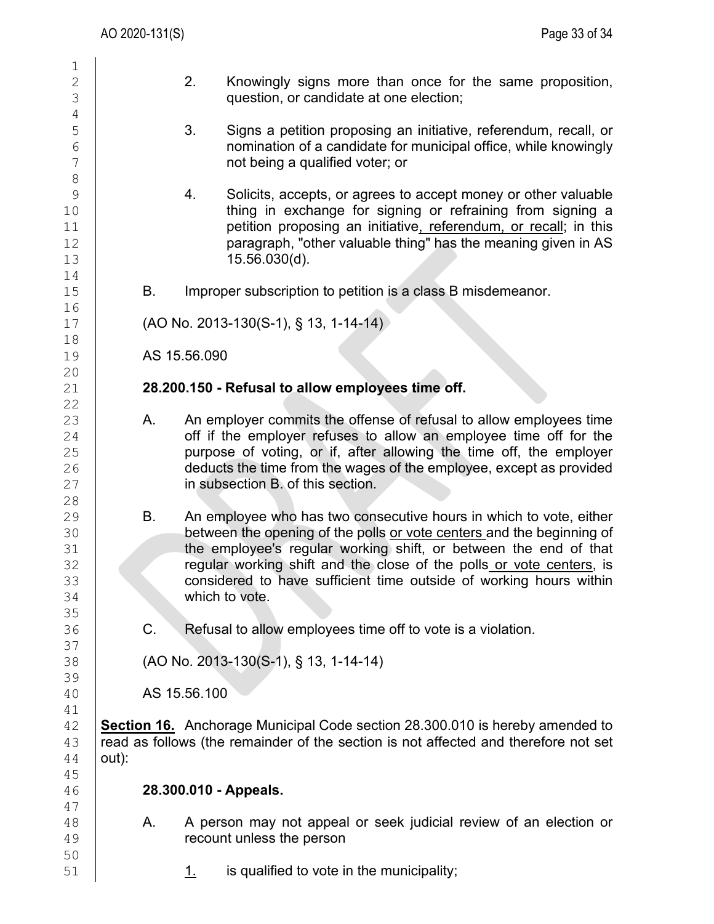| $\mathbf 1$         |       |    |              |                                                                                                                              |
|---------------------|-------|----|--------------|------------------------------------------------------------------------------------------------------------------------------|
| $\mathbf{2}$        |       |    | 2.           | Knowingly signs more than once for the same proposition,                                                                     |
| 3                   |       |    |              | question, or candidate at one election;                                                                                      |
| $\sqrt{4}$          |       |    |              |                                                                                                                              |
| 5                   |       |    | 3.           | Signs a petition proposing an initiative, referendum, recall, or                                                             |
| $6\phantom{1}6$     |       |    |              | nomination of a candidate for municipal office, while knowingly                                                              |
| 7                   |       |    |              | not being a qualified voter; or                                                                                              |
| $\,8\,$             |       |    |              |                                                                                                                              |
| $\mathcal{G}$<br>10 |       |    | 4.           | Solicits, accepts, or agrees to accept money or other valuable<br>thing in exchange for signing or refraining from signing a |
| 11                  |       |    |              | petition proposing an initiative, referendum, or recall; in this                                                             |
| 12                  |       |    |              | paragraph, "other valuable thing" has the meaning given in AS                                                                |
| 13                  |       |    |              | $15.56.030(d)$ .                                                                                                             |
| 14                  |       |    |              |                                                                                                                              |
| 15                  |       | В. |              | Improper subscription to petition is a class B misdemeanor.                                                                  |
| 16                  |       |    |              |                                                                                                                              |
| 17                  |       |    |              | $(AO No. 2013-130(S-1), § 13, 1-14-14)$                                                                                      |
| 18                  |       |    |              |                                                                                                                              |
| 19                  |       |    | AS 15.56.090 |                                                                                                                              |
| 20                  |       |    |              |                                                                                                                              |
| 21                  |       |    |              | 28.200.150 - Refusal to allow employees time off.                                                                            |
| 22                  |       | А. |              | An employer commits the offense of refusal to allow employees time                                                           |
| 23<br>24            |       |    |              | off if the employer refuses to allow an employee time off for the                                                            |
| 25                  |       |    |              | purpose of voting, or if, after allowing the time off, the employer                                                          |
| 26                  |       |    |              | deducts the time from the wages of the employee, except as provided                                                          |
| 27                  |       |    |              | in subsection B. of this section.                                                                                            |
| 28                  |       |    |              |                                                                                                                              |
| 29                  |       | Β. |              | An employee who has two consecutive hours in which to vote, either                                                           |
| 30                  |       |    |              | between the opening of the polls or vote centers and the beginning of                                                        |
| 31                  |       |    |              | the employee's regular working shift, or between the end of that                                                             |
| 32                  |       |    |              | regular working shift and the close of the polls or vote centers, is                                                         |
| 33                  |       |    |              | considered to have sufficient time outside of working hours within                                                           |
| 34                  |       |    |              | which to vote.                                                                                                               |
| 35<br>36            |       | C. |              | Refusal to allow employees time off to vote is a violation.                                                                  |
| 37                  |       |    |              |                                                                                                                              |
| 38                  |       |    |              | (AO No. 2013-130(S-1), § 13, 1-14-14)                                                                                        |
| 39                  |       |    |              |                                                                                                                              |
| 40                  |       |    | AS 15.56.100 |                                                                                                                              |
| 41                  |       |    |              |                                                                                                                              |
| 42                  |       |    |              | <b>Section 16.</b> Anchorage Municipal Code section 28.300.010 is hereby amended to                                          |
| 43                  |       |    |              | read as follows (the remainder of the section is not affected and therefore not set                                          |
| 44                  | out): |    |              |                                                                                                                              |
| 45                  |       |    |              |                                                                                                                              |
| 46                  |       |    |              | 28.300.010 - Appeals.                                                                                                        |
| 47                  |       |    |              |                                                                                                                              |
| 48<br>49            |       | А. |              | A person may not appeal or seek judicial review of an election or<br>recount unless the person                               |
| 50                  |       |    |              |                                                                                                                              |
| 51                  |       |    | <u>1.</u>    | is qualified to vote in the municipality;                                                                                    |
|                     |       |    |              |                                                                                                                              |